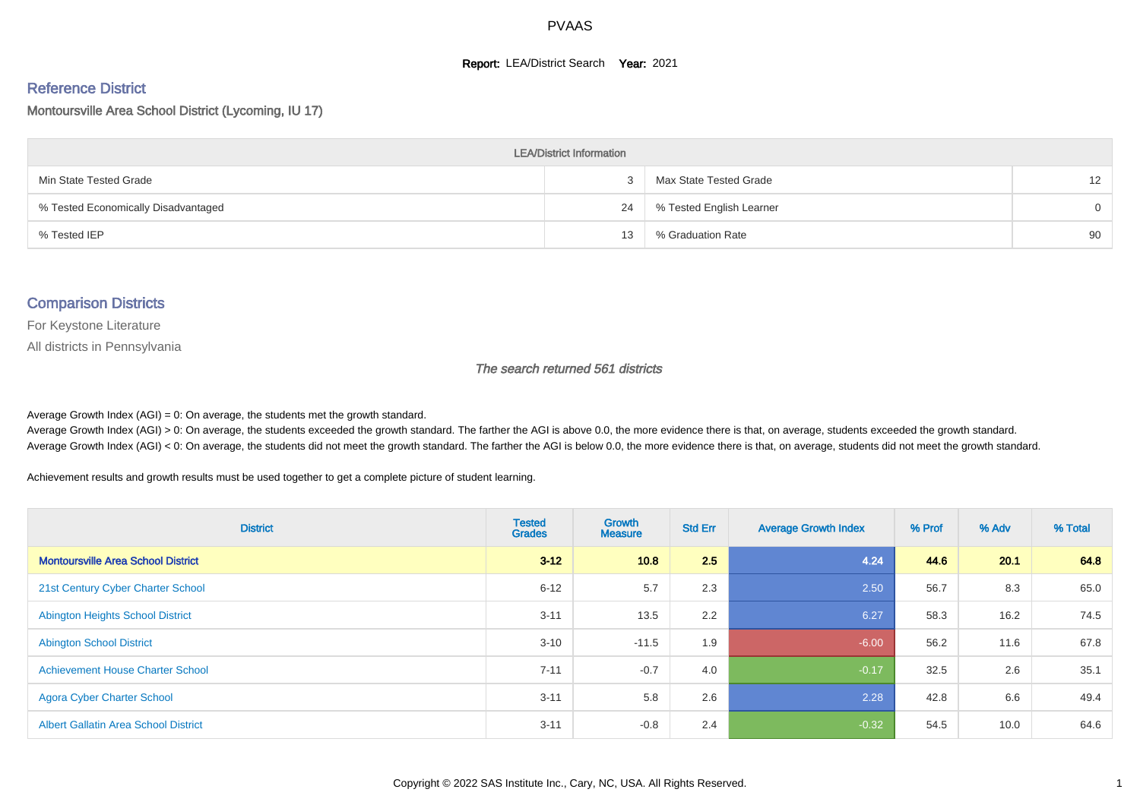#### **Report: LEA/District Search Year: 2021**

#### Reference District

#### Montoursville Area School District (Lycoming, IU 17)

| <b>LEA/District Information</b>     |    |                          |                   |  |  |  |  |  |  |  |
|-------------------------------------|----|--------------------------|-------------------|--|--|--|--|--|--|--|
| Min State Tested Grade              | 3  | Max State Tested Grade   | $12 \overline{ }$ |  |  |  |  |  |  |  |
| % Tested Economically Disadvantaged | 24 | % Tested English Learner | $\Omega$          |  |  |  |  |  |  |  |
| % Tested IEP                        | 13 | % Graduation Rate        | 90                |  |  |  |  |  |  |  |

#### Comparison Districts

For Keystone Literature

All districts in Pennsylvania

The search returned 561 districts

Average Growth Index  $(AGI) = 0$ : On average, the students met the growth standard.

Average Growth Index (AGI) > 0: On average, the students exceeded the growth standard. The farther the AGI is above 0.0, the more evidence there is that, on average, students exceeded the growth standard. Average Growth Index (AGI) < 0: On average, the students did not meet the growth standard. The farther the AGI is below 0.0, the more evidence there is that, on average, students did not meet the growth standard.

Achievement results and growth results must be used together to get a complete picture of student learning.

| <b>District</b>                             | <b>Tested</b><br><b>Grades</b> | <b>Growth</b><br><b>Measure</b> | <b>Std Err</b> | <b>Average Growth Index</b> | % Prof | % Adv | % Total |
|---------------------------------------------|--------------------------------|---------------------------------|----------------|-----------------------------|--------|-------|---------|
| <b>Montoursville Area School District</b>   | $3 - 12$                       | 10.8                            | 2.5            | 4.24                        | 44.6   | 20.1  | 64.8    |
| 21st Century Cyber Charter School           | $6 - 12$                       | 5.7                             | 2.3            | 2.50                        | 56.7   | 8.3   | 65.0    |
| <b>Abington Heights School District</b>     | $3 - 11$                       | 13.5                            | 2.2            | 6.27                        | 58.3   | 16.2  | 74.5    |
| <b>Abington School District</b>             | $3 - 10$                       | $-11.5$                         | 1.9            | $-6.00$                     | 56.2   | 11.6  | 67.8    |
| <b>Achievement House Charter School</b>     | $7 - 11$                       | $-0.7$                          | 4.0            | $-0.17$                     | 32.5   | 2.6   | 35.1    |
| <b>Agora Cyber Charter School</b>           | $3 - 11$                       | 5.8                             | 2.6            | 2.28                        | 42.8   | 6.6   | 49.4    |
| <b>Albert Gallatin Area School District</b> | $3 - 11$                       | $-0.8$                          | 2.4            | $-0.32$                     | 54.5   | 10.0  | 64.6    |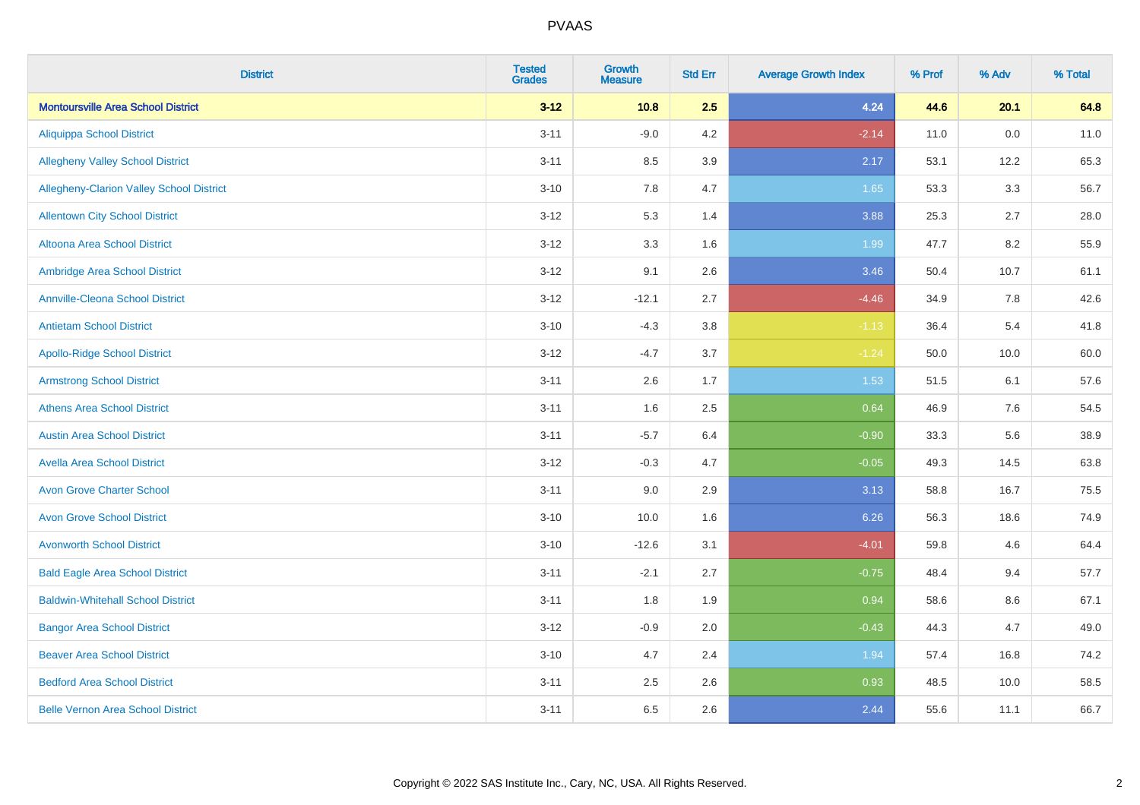| <b>District</b>                           | <b>Tested</b><br><b>Grades</b> | <b>Growth</b><br><b>Measure</b> | <b>Std Err</b> | <b>Average Growth Index</b> | % Prof | % Adv | % Total |
|-------------------------------------------|--------------------------------|---------------------------------|----------------|-----------------------------|--------|-------|---------|
| <b>Montoursville Area School District</b> | $3 - 12$                       | 10.8                            | 2.5            | 4.24                        | 44.6   | 20.1  | 64.8    |
| <b>Aliquippa School District</b>          | $3 - 11$                       | $-9.0$                          | 4.2            | $-2.14$                     | 11.0   | 0.0   | 11.0    |
| <b>Allegheny Valley School District</b>   | $3 - 11$                       | 8.5                             | 3.9            | 2.17                        | 53.1   | 12.2  | 65.3    |
| Allegheny-Clarion Valley School District  | $3 - 10$                       | 7.8                             | 4.7            | 1.65                        | 53.3   | 3.3   | 56.7    |
| <b>Allentown City School District</b>     | $3 - 12$                       | 5.3                             | 1.4            | 3.88                        | 25.3   | 2.7   | 28.0    |
| <b>Altoona Area School District</b>       | $3 - 12$                       | 3.3                             | 1.6            | 1.99                        | 47.7   | 8.2   | 55.9    |
| Ambridge Area School District             | $3 - 12$                       | 9.1                             | 2.6            | 3.46                        | 50.4   | 10.7  | 61.1    |
| <b>Annville-Cleona School District</b>    | $3 - 12$                       | $-12.1$                         | 2.7            | $-4.46$                     | 34.9   | 7.8   | 42.6    |
| <b>Antietam School District</b>           | $3 - 10$                       | $-4.3$                          | 3.8            | $-1.13$                     | 36.4   | 5.4   | 41.8    |
| <b>Apollo-Ridge School District</b>       | $3 - 12$                       | $-4.7$                          | 3.7            | $-1.24$                     | 50.0   | 10.0  | 60.0    |
| <b>Armstrong School District</b>          | $3 - 11$                       | 2.6                             | 1.7            | 1.53                        | 51.5   | 6.1   | 57.6    |
| <b>Athens Area School District</b>        | $3 - 11$                       | 1.6                             | 2.5            | 0.64                        | 46.9   | 7.6   | 54.5    |
| <b>Austin Area School District</b>        | $3 - 11$                       | $-5.7$                          | 6.4            | $-0.90$                     | 33.3   | 5.6   | 38.9    |
| <b>Avella Area School District</b>        | $3 - 12$                       | $-0.3$                          | 4.7            | $-0.05$                     | 49.3   | 14.5  | 63.8    |
| <b>Avon Grove Charter School</b>          | $3 - 11$                       | 9.0                             | 2.9            | 3.13                        | 58.8   | 16.7  | 75.5    |
| <b>Avon Grove School District</b>         | $3 - 10$                       | 10.0                            | 1.6            | 6.26                        | 56.3   | 18.6  | 74.9    |
| <b>Avonworth School District</b>          | $3 - 10$                       | $-12.6$                         | 3.1            | $-4.01$                     | 59.8   | 4.6   | 64.4    |
| <b>Bald Eagle Area School District</b>    | $3 - 11$                       | $-2.1$                          | 2.7            | $-0.75$                     | 48.4   | 9.4   | 57.7    |
| <b>Baldwin-Whitehall School District</b>  | $3 - 11$                       | 1.8                             | 1.9            | 0.94                        | 58.6   | 8.6   | 67.1    |
| <b>Bangor Area School District</b>        | $3 - 12$                       | $-0.9$                          | 2.0            | $-0.43$                     | 44.3   | 4.7   | 49.0    |
| <b>Beaver Area School District</b>        | $3 - 10$                       | 4.7                             | 2.4            | 1.94                        | 57.4   | 16.8  | 74.2    |
| <b>Bedford Area School District</b>       | $3 - 11$                       | 2.5                             | 2.6            | 0.93                        | 48.5   | 10.0  | 58.5    |
| <b>Belle Vernon Area School District</b>  | $3 - 11$                       | 6.5                             | 2.6            | 2.44                        | 55.6   | 11.1  | 66.7    |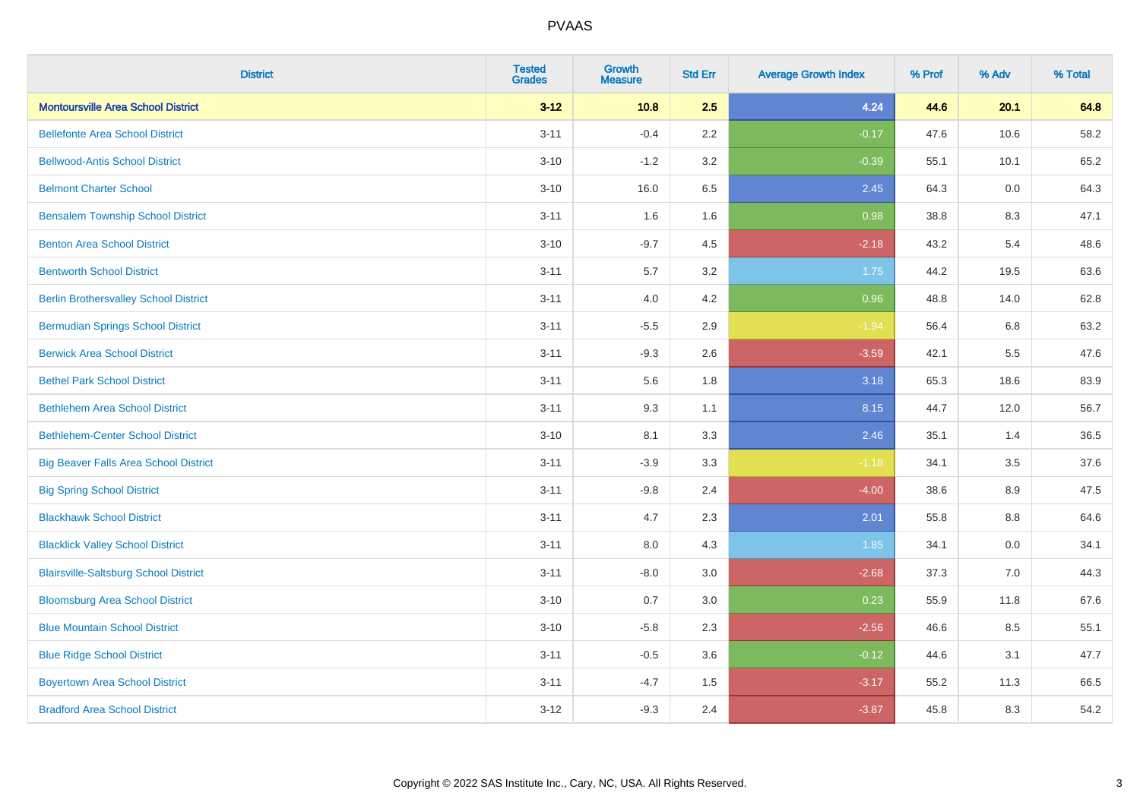| <b>District</b>                              | <b>Tested</b><br><b>Grades</b> | <b>Growth</b><br><b>Measure</b> | <b>Std Err</b> | <b>Average Growth Index</b> | % Prof | % Adv   | % Total |
|----------------------------------------------|--------------------------------|---------------------------------|----------------|-----------------------------|--------|---------|---------|
| <b>Montoursville Area School District</b>    | $3 - 12$                       | 10.8                            | 2.5            | 4.24                        | 44.6   | 20.1    | 64.8    |
| <b>Bellefonte Area School District</b>       | $3 - 11$                       | $-0.4$                          | 2.2            | $-0.17$                     | 47.6   | 10.6    | 58.2    |
| <b>Bellwood-Antis School District</b>        | $3 - 10$                       | $-1.2$                          | 3.2            | $-0.39$                     | 55.1   | 10.1    | 65.2    |
| <b>Belmont Charter School</b>                | $3 - 10$                       | 16.0                            | 6.5            | 2.45                        | 64.3   | 0.0     | 64.3    |
| <b>Bensalem Township School District</b>     | $3 - 11$                       | 1.6                             | 1.6            | 0.98                        | 38.8   | 8.3     | 47.1    |
| <b>Benton Area School District</b>           | $3 - 10$                       | $-9.7$                          | 4.5            | $-2.18$                     | 43.2   | 5.4     | 48.6    |
| <b>Bentworth School District</b>             | $3 - 11$                       | 5.7                             | 3.2            | 1.75                        | 44.2   | 19.5    | 63.6    |
| <b>Berlin Brothersvalley School District</b> | $3 - 11$                       | 4.0                             | 4.2            | 0.96                        | 48.8   | 14.0    | 62.8    |
| <b>Bermudian Springs School District</b>     | $3 - 11$                       | $-5.5$                          | 2.9            | $-1.94$                     | 56.4   | 6.8     | 63.2    |
| <b>Berwick Area School District</b>          | $3 - 11$                       | $-9.3$                          | 2.6            | $-3.59$                     | 42.1   | 5.5     | 47.6    |
| <b>Bethel Park School District</b>           | $3 - 11$                       | 5.6                             | 1.8            | 3.18                        | 65.3   | 18.6    | 83.9    |
| <b>Bethlehem Area School District</b>        | $3 - 11$                       | 9.3                             | 1.1            | 8.15                        | 44.7   | 12.0    | 56.7    |
| <b>Bethlehem-Center School District</b>      | $3 - 10$                       | 8.1                             | 3.3            | 2.46                        | 35.1   | 1.4     | 36.5    |
| <b>Big Beaver Falls Area School District</b> | $3 - 11$                       | $-3.9$                          | 3.3            | $-1.18$                     | 34.1   | 3.5     | 37.6    |
| <b>Big Spring School District</b>            | $3 - 11$                       | $-9.8$                          | 2.4            | $-4.00$                     | 38.6   | 8.9     | 47.5    |
| <b>Blackhawk School District</b>             | $3 - 11$                       | 4.7                             | 2.3            | 2.01                        | 55.8   | $8.8\,$ | 64.6    |
| <b>Blacklick Valley School District</b>      | $3 - 11$                       | 8.0                             | 4.3            | 1.85                        | 34.1   | 0.0     | 34.1    |
| <b>Blairsville-Saltsburg School District</b> | $3 - 11$                       | $-8.0$                          | 3.0            | $-2.68$                     | 37.3   | 7.0     | 44.3    |
| <b>Bloomsburg Area School District</b>       | $3 - 10$                       | 0.7                             | 3.0            | 0.23                        | 55.9   | 11.8    | 67.6    |
| <b>Blue Mountain School District</b>         | $3 - 10$                       | $-5.8$                          | 2.3            | $-2.56$                     | 46.6   | 8.5     | 55.1    |
| <b>Blue Ridge School District</b>            | $3 - 11$                       | $-0.5$                          | 3.6            | $-0.12$                     | 44.6   | 3.1     | 47.7    |
| <b>Boyertown Area School District</b>        | $3 - 11$                       | $-4.7$                          | 1.5            | $-3.17$                     | 55.2   | 11.3    | 66.5    |
| <b>Bradford Area School District</b>         | $3 - 12$                       | $-9.3$                          | 2.4            | $-3.87$                     | 45.8   | 8.3     | 54.2    |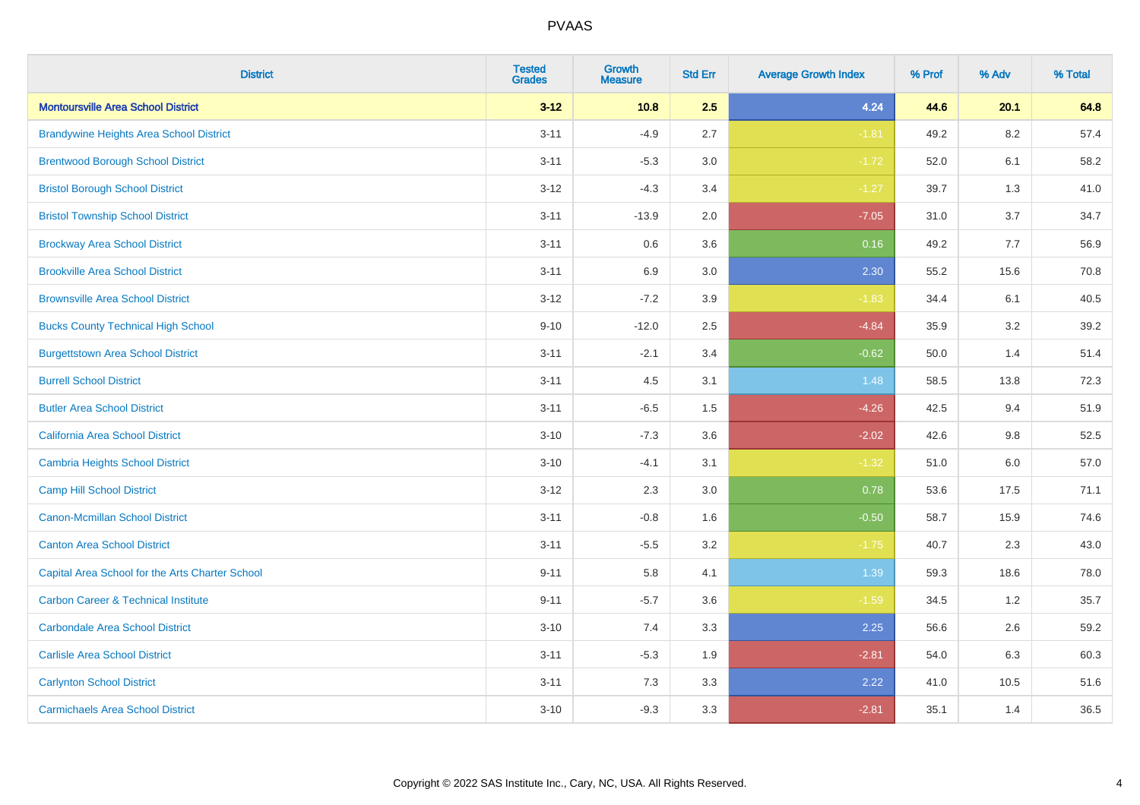| <b>District</b>                                 | <b>Tested</b><br><b>Grades</b> | <b>Growth</b><br><b>Measure</b> | <b>Std Err</b> | <b>Average Growth Index</b> | % Prof | % Adv   | % Total |
|-------------------------------------------------|--------------------------------|---------------------------------|----------------|-----------------------------|--------|---------|---------|
| <b>Montoursville Area School District</b>       | $3 - 12$                       | 10.8                            | 2.5            | 4.24                        | 44.6   | 20.1    | 64.8    |
| <b>Brandywine Heights Area School District</b>  | $3 - 11$                       | $-4.9$                          | 2.7            | $-1.81$                     | 49.2   | 8.2     | 57.4    |
| <b>Brentwood Borough School District</b>        | $3 - 11$                       | $-5.3$                          | 3.0            | $-1.72$                     | 52.0   | 6.1     | 58.2    |
| <b>Bristol Borough School District</b>          | $3 - 12$                       | $-4.3$                          | 3.4            | $-1.27$                     | 39.7   | 1.3     | 41.0    |
| <b>Bristol Township School District</b>         | $3 - 11$                       | $-13.9$                         | 2.0            | $-7.05$                     | 31.0   | 3.7     | 34.7    |
| <b>Brockway Area School District</b>            | $3 - 11$                       | 0.6                             | 3.6            | 0.16                        | 49.2   | 7.7     | 56.9    |
| <b>Brookville Area School District</b>          | $3 - 11$                       | 6.9                             | 3.0            | 2.30                        | 55.2   | 15.6    | 70.8    |
| <b>Brownsville Area School District</b>         | $3 - 12$                       | $-7.2$                          | 3.9            | $-1.83$                     | 34.4   | 6.1     | 40.5    |
| <b>Bucks County Technical High School</b>       | $9 - 10$                       | $-12.0$                         | 2.5            | $-4.84$                     | 35.9   | 3.2     | 39.2    |
| <b>Burgettstown Area School District</b>        | $3 - 11$                       | $-2.1$                          | 3.4            | $-0.62$                     | 50.0   | 1.4     | 51.4    |
| <b>Burrell School District</b>                  | $3 - 11$                       | 4.5                             | 3.1            | 1.48                        | 58.5   | 13.8    | 72.3    |
| <b>Butler Area School District</b>              | $3 - 11$                       | $-6.5$                          | 1.5            | $-4.26$                     | 42.5   | 9.4     | 51.9    |
| California Area School District                 | $3 - 10$                       | $-7.3$                          | 3.6            | $-2.02$                     | 42.6   | 9.8     | 52.5    |
| <b>Cambria Heights School District</b>          | $3 - 10$                       | $-4.1$                          | 3.1            | $-1.32$                     | 51.0   | $6.0\,$ | 57.0    |
| <b>Camp Hill School District</b>                | $3 - 12$                       | 2.3                             | 3.0            | 0.78                        | 53.6   | 17.5    | 71.1    |
| Canon-Mcmillan School District                  | $3 - 11$                       | $-0.8$                          | 1.6            | $-0.50$                     | 58.7   | 15.9    | 74.6    |
| <b>Canton Area School District</b>              | $3 - 11$                       | $-5.5$                          | 3.2            | $-1.75$                     | 40.7   | 2.3     | 43.0    |
| Capital Area School for the Arts Charter School | $9 - 11$                       | 5.8                             | 4.1            | 1.39                        | 59.3   | 18.6    | 78.0    |
| <b>Carbon Career &amp; Technical Institute</b>  | $9 - 11$                       | $-5.7$                          | 3.6            | $-1.59$                     | 34.5   | 1.2     | 35.7    |
| <b>Carbondale Area School District</b>          | $3 - 10$                       | 7.4                             | 3.3            | 2.25                        | 56.6   | 2.6     | 59.2    |
| <b>Carlisle Area School District</b>            | $3 - 11$                       | $-5.3$                          | 1.9            | $-2.81$                     | 54.0   | 6.3     | 60.3    |
| <b>Carlynton School District</b>                | $3 - 11$                       | 7.3                             | 3.3            | 2.22                        | 41.0   | 10.5    | 51.6    |
| <b>Carmichaels Area School District</b>         | $3 - 10$                       | $-9.3$                          | 3.3            | $-2.81$                     | 35.1   | 1.4     | 36.5    |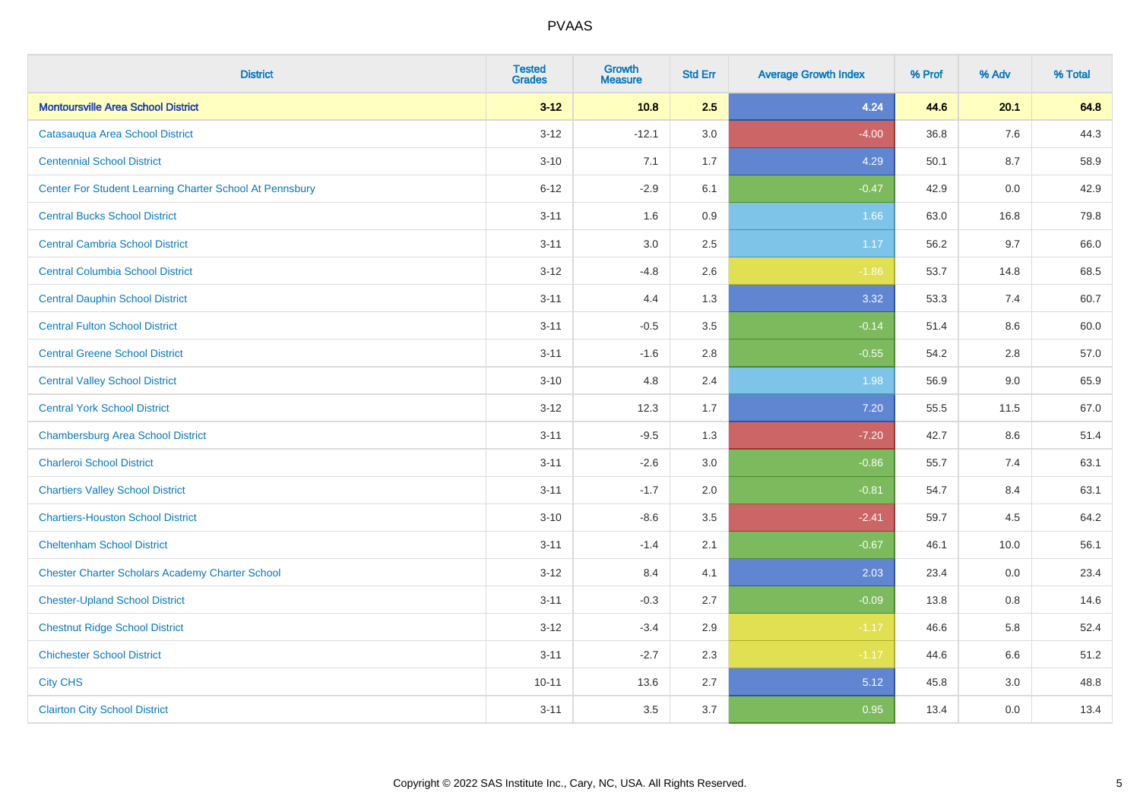| <b>District</b>                                         | <b>Tested</b><br><b>Grades</b> | <b>Growth</b><br><b>Measure</b> | <b>Std Err</b> | <b>Average Growth Index</b> | % Prof | % Adv | % Total |
|---------------------------------------------------------|--------------------------------|---------------------------------|----------------|-----------------------------|--------|-------|---------|
| <b>Montoursville Area School District</b>               | $3 - 12$                       | 10.8                            | 2.5            | 4.24                        | 44.6   | 20.1  | 64.8    |
| Catasauqua Area School District                         | $3 - 12$                       | $-12.1$                         | 3.0            | $-4.00$                     | 36.8   | 7.6   | 44.3    |
| <b>Centennial School District</b>                       | $3 - 10$                       | 7.1                             | 1.7            | 4.29                        | 50.1   | 8.7   | 58.9    |
| Center For Student Learning Charter School At Pennsbury | $6 - 12$                       | $-2.9$                          | 6.1            | $-0.47$                     | 42.9   | 0.0   | 42.9    |
| <b>Central Bucks School District</b>                    | $3 - 11$                       | 1.6                             | 0.9            | 1.66                        | 63.0   | 16.8  | 79.8    |
| <b>Central Cambria School District</b>                  | $3 - 11$                       | 3.0                             | 2.5            | 1.17                        | 56.2   | 9.7   | 66.0    |
| <b>Central Columbia School District</b>                 | $3 - 12$                       | $-4.8$                          | 2.6            | $-1.86$                     | 53.7   | 14.8  | 68.5    |
| <b>Central Dauphin School District</b>                  | $3 - 11$                       | 4.4                             | 1.3            | 3.32                        | 53.3   | 7.4   | 60.7    |
| <b>Central Fulton School District</b>                   | $3 - 11$                       | $-0.5$                          | 3.5            | $-0.14$                     | 51.4   | 8.6   | 60.0    |
| <b>Central Greene School District</b>                   | $3 - 11$                       | $-1.6$                          | 2.8            | $-0.55$                     | 54.2   | 2.8   | 57.0    |
| <b>Central Valley School District</b>                   | $3 - 10$                       | 4.8                             | 2.4            | 1.98                        | 56.9   | 9.0   | 65.9    |
| <b>Central York School District</b>                     | $3 - 12$                       | 12.3                            | 1.7            | 7.20                        | 55.5   | 11.5  | 67.0    |
| <b>Chambersburg Area School District</b>                | $3 - 11$                       | $-9.5$                          | 1.3            | $-7.20$                     | 42.7   | 8.6   | 51.4    |
| <b>Charleroi School District</b>                        | $3 - 11$                       | $-2.6$                          | 3.0            | $-0.86$                     | 55.7   | 7.4   | 63.1    |
| <b>Chartiers Valley School District</b>                 | $3 - 11$                       | $-1.7$                          | 2.0            | $-0.81$                     | 54.7   | 8.4   | 63.1    |
| <b>Chartiers-Houston School District</b>                | $3 - 10$                       | $-8.6$                          | 3.5            | $-2.41$                     | 59.7   | 4.5   | 64.2    |
| <b>Cheltenham School District</b>                       | $3 - 11$                       | $-1.4$                          | 2.1            | $-0.67$                     | 46.1   | 10.0  | 56.1    |
| <b>Chester Charter Scholars Academy Charter School</b>  | $3 - 12$                       | 8.4                             | 4.1            | 2.03                        | 23.4   | 0.0   | 23.4    |
| <b>Chester-Upland School District</b>                   | $3 - 11$                       | $-0.3$                          | 2.7            | $-0.09$                     | 13.8   | 0.8   | 14.6    |
| <b>Chestnut Ridge School District</b>                   | $3 - 12$                       | $-3.4$                          | 2.9            | $-1.17$                     | 46.6   | 5.8   | 52.4    |
| <b>Chichester School District</b>                       | $3 - 11$                       | $-2.7$                          | 2.3            | $-1.17$                     | 44.6   | 6.6   | 51.2    |
| <b>City CHS</b>                                         | $10 - 11$                      | 13.6                            | 2.7            | 5.12                        | 45.8   | 3.0   | 48.8    |
| <b>Clairton City School District</b>                    | $3 - 11$                       | 3.5                             | 3.7            | 0.95                        | 13.4   | 0.0   | 13.4    |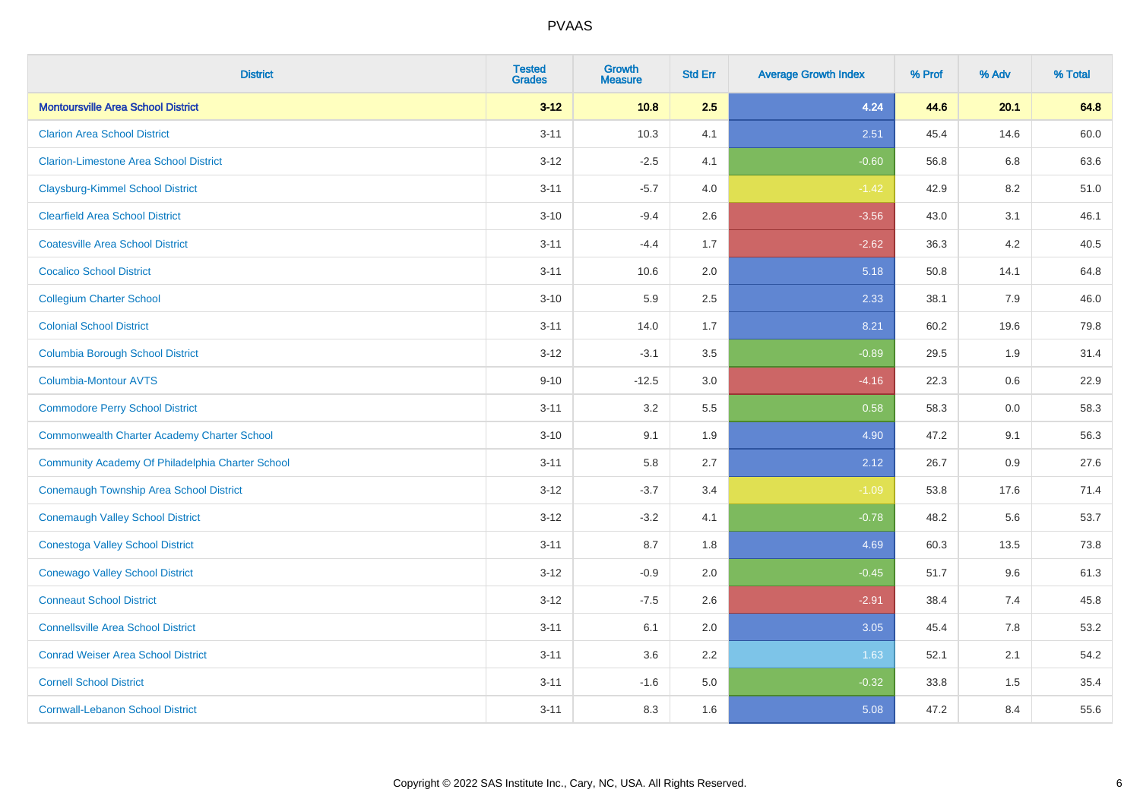| <b>District</b>                                  | <b>Tested</b><br><b>Grades</b> | Growth<br><b>Measure</b> | <b>Std Err</b> | <b>Average Growth Index</b> | % Prof | % Adv   | % Total |
|--------------------------------------------------|--------------------------------|--------------------------|----------------|-----------------------------|--------|---------|---------|
| <b>Montoursville Area School District</b>        | $3 - 12$                       | 10.8                     | 2.5            | 4.24                        | 44.6   | 20.1    | 64.8    |
| <b>Clarion Area School District</b>              | $3 - 11$                       | 10.3                     | 4.1            | 2.51                        | 45.4   | 14.6    | 60.0    |
| <b>Clarion-Limestone Area School District</b>    | $3 - 12$                       | $-2.5$                   | 4.1            | $-0.60$                     | 56.8   | 6.8     | 63.6    |
| <b>Claysburg-Kimmel School District</b>          | $3 - 11$                       | $-5.7$                   | 4.0            | $-1.42$                     | 42.9   | $8.2\,$ | 51.0    |
| <b>Clearfield Area School District</b>           | $3 - 10$                       | $-9.4$                   | 2.6            | $-3.56$                     | 43.0   | 3.1     | 46.1    |
| <b>Coatesville Area School District</b>          | $3 - 11$                       | $-4.4$                   | 1.7            | $-2.62$                     | 36.3   | 4.2     | 40.5    |
| <b>Cocalico School District</b>                  | $3 - 11$                       | 10.6                     | 2.0            | 5.18                        | 50.8   | 14.1    | 64.8    |
| <b>Collegium Charter School</b>                  | $3 - 10$                       | 5.9                      | 2.5            | 2.33                        | 38.1   | 7.9     | 46.0    |
| <b>Colonial School District</b>                  | $3 - 11$                       | 14.0                     | 1.7            | 8.21                        | 60.2   | 19.6    | 79.8    |
| <b>Columbia Borough School District</b>          | $3 - 12$                       | $-3.1$                   | 3.5            | $-0.89$                     | 29.5   | 1.9     | 31.4    |
| <b>Columbia-Montour AVTS</b>                     | $9 - 10$                       | $-12.5$                  | 3.0            | $-4.16$                     | 22.3   | 0.6     | 22.9    |
| <b>Commodore Perry School District</b>           | $3 - 11$                       | 3.2                      | 5.5            | 0.58                        | 58.3   | 0.0     | 58.3    |
| Commonwealth Charter Academy Charter School      | $3 - 10$                       | 9.1                      | 1.9            | 4.90                        | 47.2   | 9.1     | 56.3    |
| Community Academy Of Philadelphia Charter School | $3 - 11$                       | 5.8                      | 2.7            | 2.12                        | 26.7   | 0.9     | 27.6    |
| <b>Conemaugh Township Area School District</b>   | $3 - 12$                       | $-3.7$                   | 3.4            | $-1.09$                     | 53.8   | 17.6    | 71.4    |
| <b>Conemaugh Valley School District</b>          | $3 - 12$                       | $-3.2$                   | 4.1            | $-0.78$                     | 48.2   | 5.6     | 53.7    |
| <b>Conestoga Valley School District</b>          | $3 - 11$                       | 8.7                      | 1.8            | 4.69                        | 60.3   | 13.5    | 73.8    |
| <b>Conewago Valley School District</b>           | $3 - 12$                       | $-0.9$                   | 2.0            | $-0.45$                     | 51.7   | 9.6     | 61.3    |
| <b>Conneaut School District</b>                  | $3 - 12$                       | $-7.5$                   | 2.6            | $-2.91$                     | 38.4   | 7.4     | 45.8    |
| <b>Connellsville Area School District</b>        | $3 - 11$                       | 6.1                      | 2.0            | 3.05                        | 45.4   | 7.8     | 53.2    |
| <b>Conrad Weiser Area School District</b>        | $3 - 11$                       | 3.6                      | 2.2            | 1.63                        | 52.1   | 2.1     | 54.2    |
| <b>Cornell School District</b>                   | $3 - 11$                       | $-1.6$                   | 5.0            | $-0.32$                     | 33.8   | 1.5     | 35.4    |
| <b>Cornwall-Lebanon School District</b>          | $3 - 11$                       | 8.3                      | 1.6            | 5.08                        | 47.2   | 8.4     | 55.6    |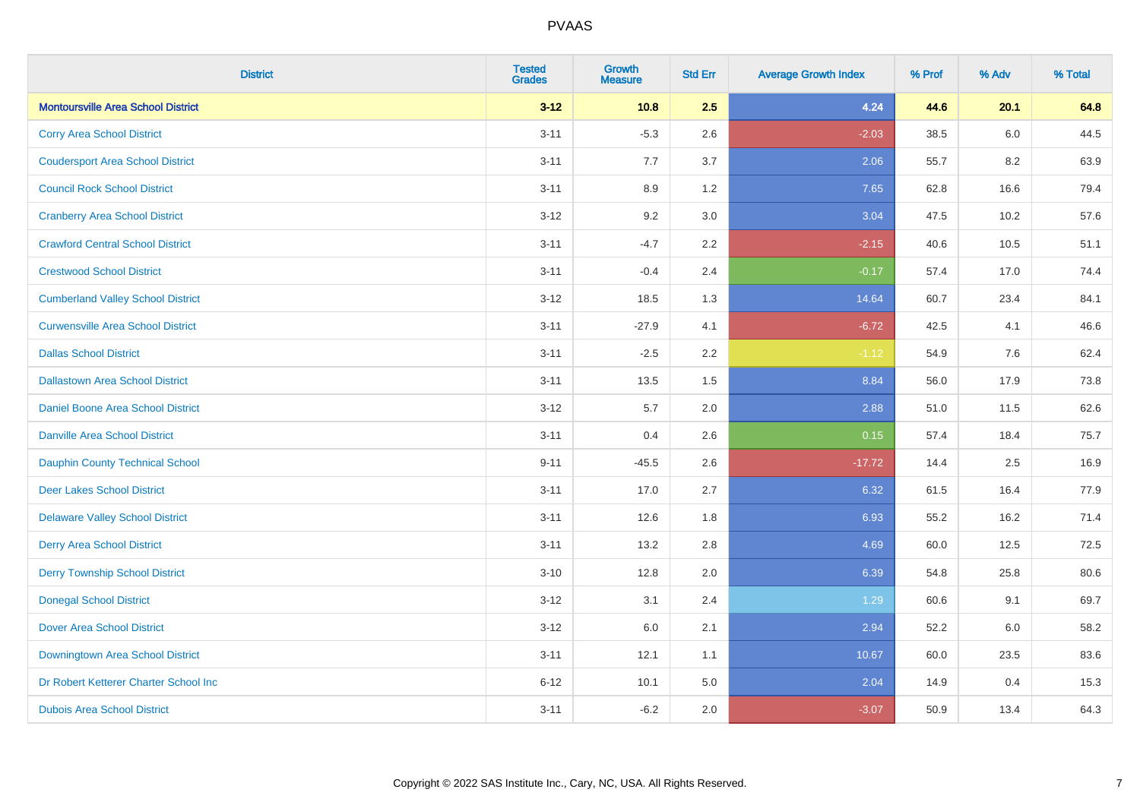| <b>District</b>                           | <b>Tested</b><br><b>Grades</b> | <b>Growth</b><br><b>Measure</b> | <b>Std Err</b> | <b>Average Growth Index</b> | % Prof | % Adv | % Total |
|-------------------------------------------|--------------------------------|---------------------------------|----------------|-----------------------------|--------|-------|---------|
| <b>Montoursville Area School District</b> | $3 - 12$                       | 10.8                            | 2.5            | 4.24                        | 44.6   | 20.1  | 64.8    |
| <b>Corry Area School District</b>         | $3 - 11$                       | $-5.3$                          | 2.6            | $-2.03$                     | 38.5   | 6.0   | 44.5    |
| <b>Coudersport Area School District</b>   | $3 - 11$                       | 7.7                             | 3.7            | 2.06                        | 55.7   | 8.2   | 63.9    |
| <b>Council Rock School District</b>       | $3 - 11$                       | 8.9                             | 1.2            | 7.65                        | 62.8   | 16.6  | 79.4    |
| <b>Cranberry Area School District</b>     | $3 - 12$                       | 9.2                             | 3.0            | 3.04                        | 47.5   | 10.2  | 57.6    |
| <b>Crawford Central School District</b>   | $3 - 11$                       | $-4.7$                          | 2.2            | $-2.15$                     | 40.6   | 10.5  | 51.1    |
| <b>Crestwood School District</b>          | $3 - 11$                       | $-0.4$                          | 2.4            | $-0.17$                     | 57.4   | 17.0  | 74.4    |
| <b>Cumberland Valley School District</b>  | $3 - 12$                       | 18.5                            | 1.3            | 14.64                       | 60.7   | 23.4  | 84.1    |
| <b>Curwensville Area School District</b>  | $3 - 11$                       | $-27.9$                         | 4.1            | $-6.72$                     | 42.5   | 4.1   | 46.6    |
| <b>Dallas School District</b>             | $3 - 11$                       | $-2.5$                          | 2.2            | $-1.12$                     | 54.9   | 7.6   | 62.4    |
| <b>Dallastown Area School District</b>    | $3 - 11$                       | 13.5                            | 1.5            | 8.84                        | 56.0   | 17.9  | 73.8    |
| <b>Daniel Boone Area School District</b>  | $3 - 12$                       | 5.7                             | 2.0            | 2.88                        | 51.0   | 11.5  | 62.6    |
| Danville Area School District             | $3 - 11$                       | 0.4                             | 2.6            | 0.15                        | 57.4   | 18.4  | 75.7    |
| <b>Dauphin County Technical School</b>    | $9 - 11$                       | $-45.5$                         | 2.6            | $-17.72$                    | 14.4   | 2.5   | 16.9    |
| <b>Deer Lakes School District</b>         | $3 - 11$                       | 17.0                            | 2.7            | 6.32                        | 61.5   | 16.4  | 77.9    |
| <b>Delaware Valley School District</b>    | $3 - 11$                       | 12.6                            | 1.8            | 6.93                        | 55.2   | 16.2  | 71.4    |
| <b>Derry Area School District</b>         | $3 - 11$                       | 13.2                            | 2.8            | 4.69                        | 60.0   | 12.5  | 72.5    |
| <b>Derry Township School District</b>     | $3 - 10$                       | 12.8                            | 2.0            | 6.39                        | 54.8   | 25.8  | 80.6    |
| <b>Donegal School District</b>            | $3 - 12$                       | 3.1                             | 2.4            | 1.29                        | 60.6   | 9.1   | 69.7    |
| <b>Dover Area School District</b>         | $3 - 12$                       | 6.0                             | 2.1            | 2.94                        | 52.2   | 6.0   | 58.2    |
| Downingtown Area School District          | $3 - 11$                       | 12.1                            | 1.1            | 10.67                       | 60.0   | 23.5  | 83.6    |
| Dr Robert Ketterer Charter School Inc     | $6 - 12$                       | 10.1                            | 5.0            | 2.04                        | 14.9   | 0.4   | 15.3    |
| <b>Dubois Area School District</b>        | $3 - 11$                       | $-6.2$                          | 2.0            | $-3.07$                     | 50.9   | 13.4  | 64.3    |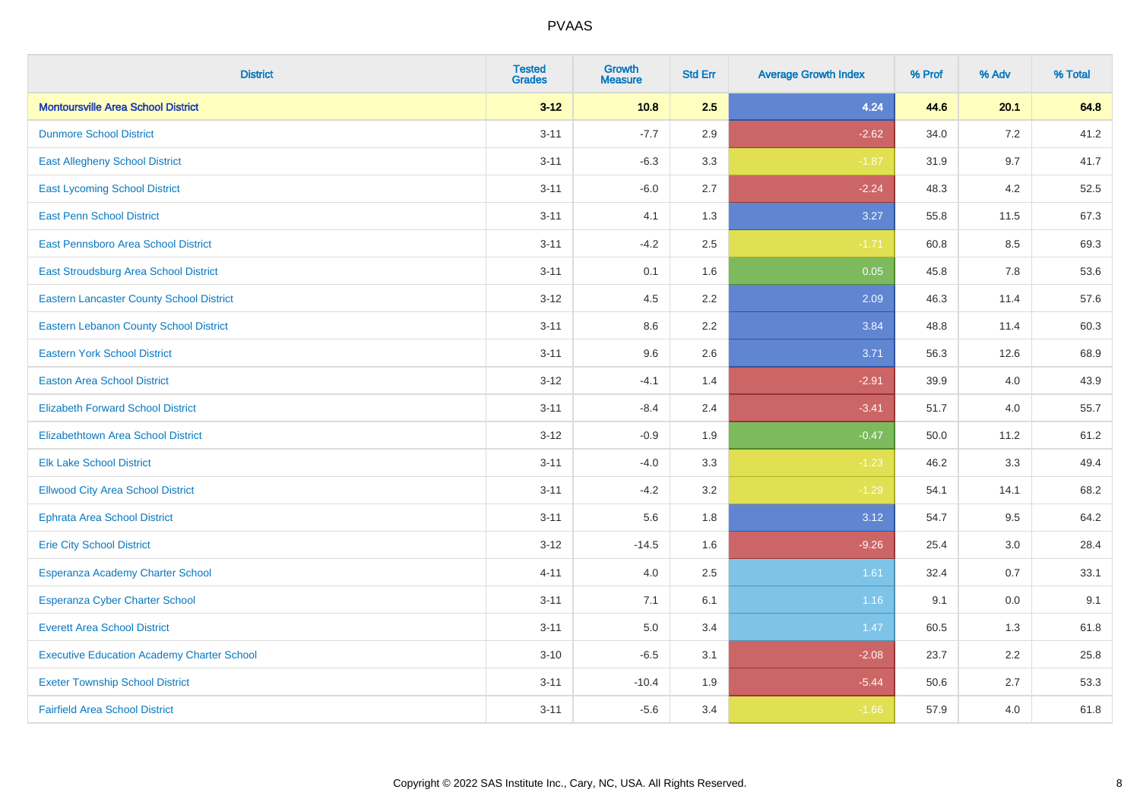| <b>District</b>                                   | <b>Tested</b><br><b>Grades</b> | <b>Growth</b><br><b>Measure</b> | <b>Std Err</b> | <b>Average Growth Index</b> | % Prof | % Adv | % Total |
|---------------------------------------------------|--------------------------------|---------------------------------|----------------|-----------------------------|--------|-------|---------|
| <b>Montoursville Area School District</b>         | $3 - 12$                       | 10.8                            | 2.5            | 4.24                        | 44.6   | 20.1  | 64.8    |
| <b>Dunmore School District</b>                    | $3 - 11$                       | $-7.7$                          | 2.9            | $-2.62$                     | 34.0   | 7.2   | 41.2    |
| <b>East Allegheny School District</b>             | $3 - 11$                       | $-6.3$                          | 3.3            | $-1.87$                     | 31.9   | 9.7   | 41.7    |
| <b>East Lycoming School District</b>              | $3 - 11$                       | $-6.0$                          | 2.7            | $-2.24$                     | 48.3   | 4.2   | 52.5    |
| <b>East Penn School District</b>                  | $3 - 11$                       | 4.1                             | 1.3            | 3.27                        | 55.8   | 11.5  | 67.3    |
| East Pennsboro Area School District               | $3 - 11$                       | $-4.2$                          | 2.5            | $-1.71$                     | 60.8   | 8.5   | 69.3    |
| <b>East Stroudsburg Area School District</b>      | $3 - 11$                       | 0.1                             | 1.6            | 0.05                        | 45.8   | 7.8   | 53.6    |
| <b>Eastern Lancaster County School District</b>   | $3 - 12$                       | 4.5                             | 2.2            | 2.09                        | 46.3   | 11.4  | 57.6    |
| <b>Eastern Lebanon County School District</b>     | $3 - 11$                       | 8.6                             | 2.2            | 3.84                        | 48.8   | 11.4  | 60.3    |
| <b>Eastern York School District</b>               | $3 - 11$                       | 9.6                             | 2.6            | 3.71                        | 56.3   | 12.6  | 68.9    |
| <b>Easton Area School District</b>                | $3 - 12$                       | $-4.1$                          | 1.4            | $-2.91$                     | 39.9   | 4.0   | 43.9    |
| <b>Elizabeth Forward School District</b>          | $3 - 11$                       | $-8.4$                          | 2.4            | $-3.41$                     | 51.7   | 4.0   | 55.7    |
| <b>Elizabethtown Area School District</b>         | $3 - 12$                       | $-0.9$                          | 1.9            | $-0.47$                     | 50.0   | 11.2  | 61.2    |
| <b>Elk Lake School District</b>                   | $3 - 11$                       | $-4.0$                          | 3.3            | $-1.23$                     | 46.2   | 3.3   | 49.4    |
| <b>Ellwood City Area School District</b>          | $3 - 11$                       | $-4.2$                          | 3.2            | $-1.29$                     | 54.1   | 14.1  | 68.2    |
| <b>Ephrata Area School District</b>               | $3 - 11$                       | 5.6                             | 1.8            | 3.12                        | 54.7   | 9.5   | 64.2    |
| <b>Erie City School District</b>                  | $3 - 12$                       | $-14.5$                         | 1.6            | $-9.26$                     | 25.4   | 3.0   | 28.4    |
| Esperanza Academy Charter School                  | $4 - 11$                       | 4.0                             | 2.5            | 1.61                        | 32.4   | 0.7   | 33.1    |
| <b>Esperanza Cyber Charter School</b>             | $3 - 11$                       | 7.1                             | 6.1            | 1.16                        | 9.1    | 0.0   | 9.1     |
| <b>Everett Area School District</b>               | $3 - 11$                       | 5.0                             | 3.4            | 1.47                        | 60.5   | 1.3   | 61.8    |
| <b>Executive Education Academy Charter School</b> | $3 - 10$                       | $-6.5$                          | 3.1            | $-2.08$                     | 23.7   | 2.2   | 25.8    |
| <b>Exeter Township School District</b>            | $3 - 11$                       | $-10.4$                         | 1.9            | $-5.44$                     | 50.6   | 2.7   | 53.3    |
| <b>Fairfield Area School District</b>             | $3 - 11$                       | $-5.6$                          | 3.4            | $-1.66$                     | 57.9   | 4.0   | 61.8    |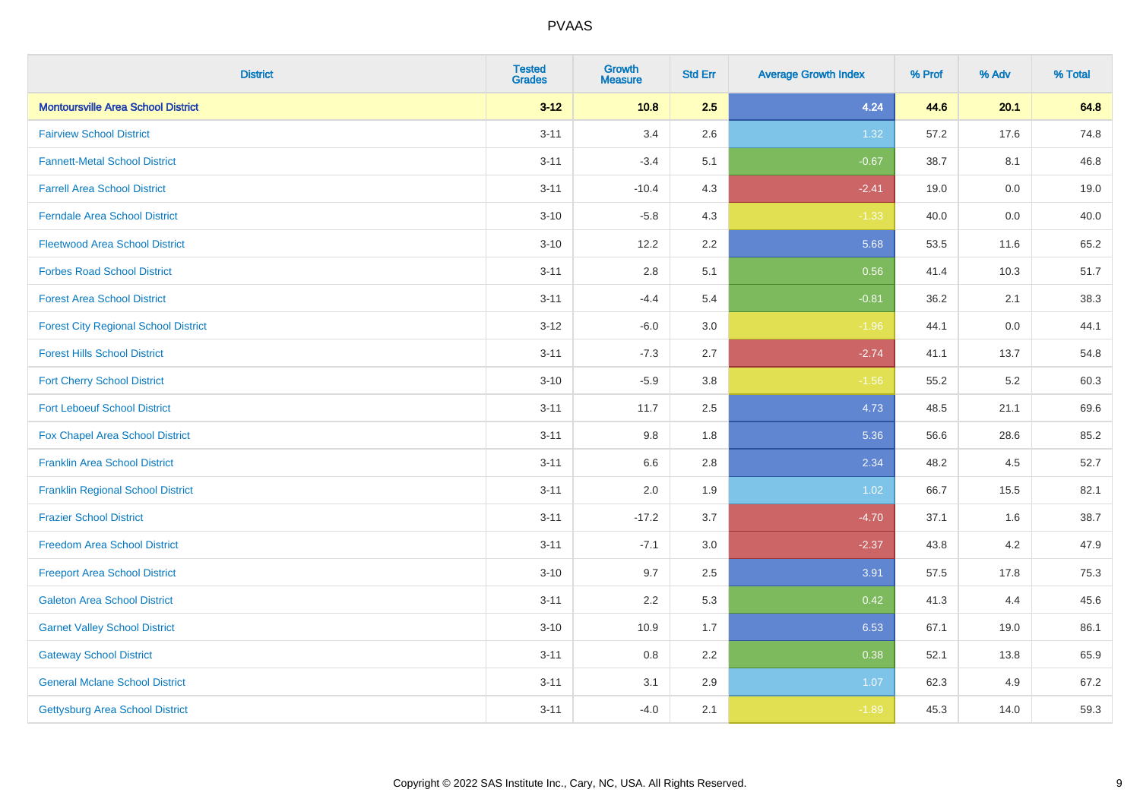| <b>District</b>                             | <b>Tested</b><br><b>Grades</b> | <b>Growth</b><br><b>Measure</b> | <b>Std Err</b> | <b>Average Growth Index</b> | % Prof | % Adv | % Total |
|---------------------------------------------|--------------------------------|---------------------------------|----------------|-----------------------------|--------|-------|---------|
| <b>Montoursville Area School District</b>   | $3 - 12$                       | 10.8                            | 2.5            | 4.24                        | 44.6   | 20.1  | 64.8    |
| <b>Fairview School District</b>             | $3 - 11$                       | 3.4                             | 2.6            | 1.32                        | 57.2   | 17.6  | 74.8    |
| <b>Fannett-Metal School District</b>        | $3 - 11$                       | $-3.4$                          | 5.1            | $-0.67$                     | 38.7   | 8.1   | 46.8    |
| <b>Farrell Area School District</b>         | $3 - 11$                       | $-10.4$                         | 4.3            | $-2.41$                     | 19.0   | 0.0   | 19.0    |
| <b>Ferndale Area School District</b>        | $3 - 10$                       | $-5.8$                          | 4.3            | $-1.33$                     | 40.0   | 0.0   | 40.0    |
| <b>Fleetwood Area School District</b>       | $3 - 10$                       | 12.2                            | 2.2            | 5.68                        | 53.5   | 11.6  | 65.2    |
| <b>Forbes Road School District</b>          | $3 - 11$                       | 2.8                             | 5.1            | 0.56                        | 41.4   | 10.3  | 51.7    |
| <b>Forest Area School District</b>          | $3 - 11$                       | $-4.4$                          | 5.4            | $-0.81$                     | 36.2   | 2.1   | 38.3    |
| <b>Forest City Regional School District</b> | $3 - 12$                       | $-6.0$                          | 3.0            | $-1.96$                     | 44.1   | 0.0   | 44.1    |
| <b>Forest Hills School District</b>         | $3 - 11$                       | $-7.3$                          | 2.7            | $-2.74$                     | 41.1   | 13.7  | 54.8    |
| <b>Fort Cherry School District</b>          | $3 - 10$                       | $-5.9$                          | 3.8            | $-1.56$                     | 55.2   | 5.2   | 60.3    |
| <b>Fort Leboeuf School District</b>         | $3 - 11$                       | 11.7                            | 2.5            | 4.73                        | 48.5   | 21.1  | 69.6    |
| Fox Chapel Area School District             | $3 - 11$                       | $9.8\,$                         | 1.8            | 5.36                        | 56.6   | 28.6  | 85.2    |
| <b>Franklin Area School District</b>        | $3 - 11$                       | 6.6                             | 2.8            | 2.34                        | 48.2   | 4.5   | 52.7    |
| <b>Franklin Regional School District</b>    | $3 - 11$                       | 2.0                             | 1.9            | 1.02                        | 66.7   | 15.5  | 82.1    |
| <b>Frazier School District</b>              | $3 - 11$                       | $-17.2$                         | 3.7            | $-4.70$                     | 37.1   | 1.6   | 38.7    |
| <b>Freedom Area School District</b>         | $3 - 11$                       | $-7.1$                          | 3.0            | $-2.37$                     | 43.8   | 4.2   | 47.9    |
| <b>Freeport Area School District</b>        | $3 - 10$                       | 9.7                             | 2.5            | 3.91                        | 57.5   | 17.8  | 75.3    |
| <b>Galeton Area School District</b>         | $3 - 11$                       | 2.2                             | 5.3            | 0.42                        | 41.3   | 4.4   | 45.6    |
| <b>Garnet Valley School District</b>        | $3 - 10$                       | 10.9                            | 1.7            | 6.53                        | 67.1   | 19.0  | 86.1    |
| <b>Gateway School District</b>              | $3 - 11$                       | 0.8                             | 2.2            | 0.38                        | 52.1   | 13.8  | 65.9    |
| <b>General Mclane School District</b>       | $3 - 11$                       | 3.1                             | 2.9            | 1.07                        | 62.3   | 4.9   | 67.2    |
| <b>Gettysburg Area School District</b>      | $3 - 11$                       | $-4.0$                          | 2.1            | $-1.89$                     | 45.3   | 14.0  | 59.3    |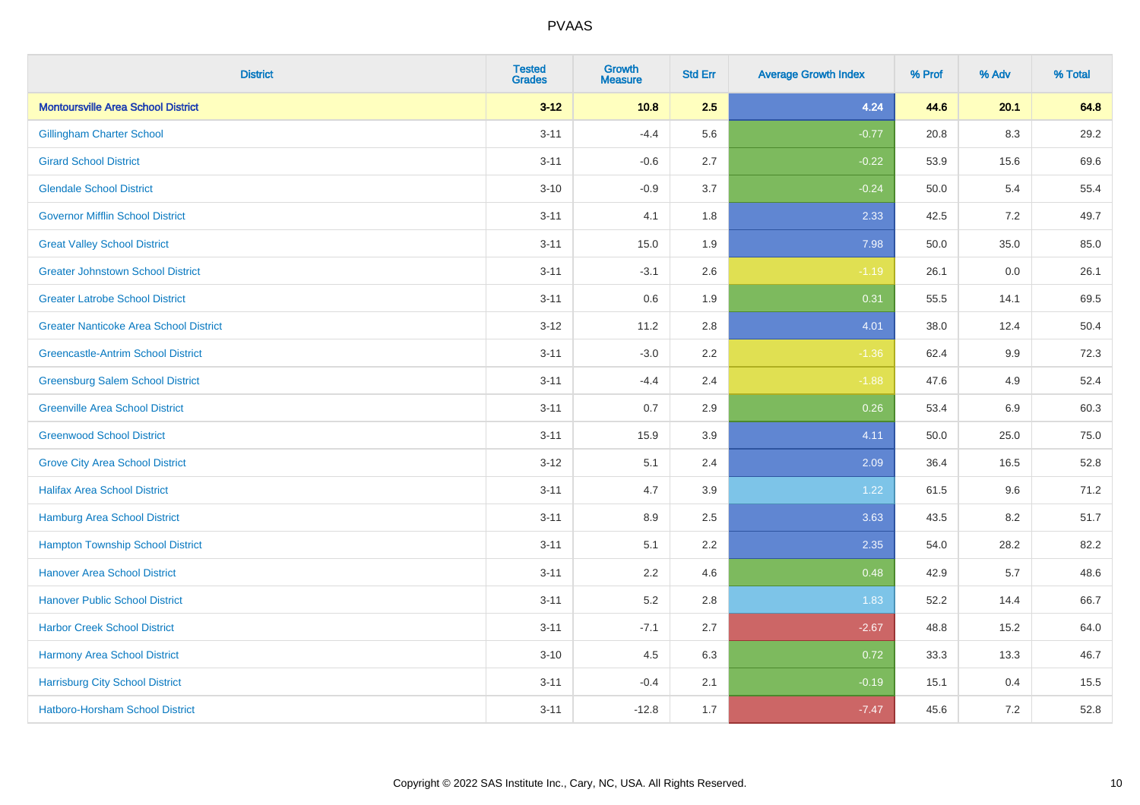| <b>District</b>                               | <b>Tested</b><br><b>Grades</b> | <b>Growth</b><br><b>Measure</b> | <b>Std Err</b> | <b>Average Growth Index</b> | % Prof | % Adv   | % Total |
|-----------------------------------------------|--------------------------------|---------------------------------|----------------|-----------------------------|--------|---------|---------|
| <b>Montoursville Area School District</b>     | $3 - 12$                       | 10.8                            | 2.5            | 4.24                        | 44.6   | 20.1    | 64.8    |
| <b>Gillingham Charter School</b>              | $3 - 11$                       | $-4.4$                          | 5.6            | $-0.77$                     | 20.8   | $8.3\,$ | 29.2    |
| <b>Girard School District</b>                 | $3 - 11$                       | $-0.6$                          | 2.7            | $-0.22$                     | 53.9   | 15.6    | 69.6    |
| <b>Glendale School District</b>               | $3 - 10$                       | $-0.9$                          | 3.7            | $-0.24$                     | 50.0   | 5.4     | 55.4    |
| <b>Governor Mifflin School District</b>       | $3 - 11$                       | 4.1                             | 1.8            | 2.33                        | 42.5   | 7.2     | 49.7    |
| <b>Great Valley School District</b>           | $3 - 11$                       | 15.0                            | 1.9            | 7.98                        | 50.0   | 35.0    | 85.0    |
| <b>Greater Johnstown School District</b>      | $3 - 11$                       | $-3.1$                          | 2.6            | $-1.19$                     | 26.1   | 0.0     | 26.1    |
| <b>Greater Latrobe School District</b>        | $3 - 11$                       | 0.6                             | 1.9            | 0.31                        | 55.5   | 14.1    | 69.5    |
| <b>Greater Nanticoke Area School District</b> | $3-12$                         | 11.2                            | 2.8            | 4.01                        | 38.0   | 12.4    | 50.4    |
| <b>Greencastle-Antrim School District</b>     | $3 - 11$                       | $-3.0$                          | 2.2            | $-1.36$                     | 62.4   | 9.9     | 72.3    |
| <b>Greensburg Salem School District</b>       | $3 - 11$                       | $-4.4$                          | 2.4            | $-1.88$                     | 47.6   | 4.9     | 52.4    |
| <b>Greenville Area School District</b>        | $3 - 11$                       | 0.7                             | 2.9            | 0.26                        | 53.4   | 6.9     | 60.3    |
| <b>Greenwood School District</b>              | $3 - 11$                       | 15.9                            | 3.9            | 4.11                        | 50.0   | 25.0    | 75.0    |
| <b>Grove City Area School District</b>        | $3 - 12$                       | 5.1                             | 2.4            | 2.09                        | 36.4   | 16.5    | 52.8    |
| <b>Halifax Area School District</b>           | $3 - 11$                       | 4.7                             | 3.9            | 1.22                        | 61.5   | 9.6     | 71.2    |
| <b>Hamburg Area School District</b>           | $3 - 11$                       | 8.9                             | 2.5            | 3.63                        | 43.5   | 8.2     | 51.7    |
| <b>Hampton Township School District</b>       | $3 - 11$                       | 5.1                             | 2.2            | 2.35                        | 54.0   | 28.2    | 82.2    |
| <b>Hanover Area School District</b>           | $3 - 11$                       | 2.2                             | 4.6            | 0.48                        | 42.9   | 5.7     | 48.6    |
| <b>Hanover Public School District</b>         | $3 - 11$                       | 5.2                             | 2.8            | 1.83                        | 52.2   | 14.4    | 66.7    |
| <b>Harbor Creek School District</b>           | $3 - 11$                       | $-7.1$                          | 2.7            | $-2.67$                     | 48.8   | 15.2    | 64.0    |
| Harmony Area School District                  | $3 - 10$                       | 4.5                             | 6.3            | 0.72                        | 33.3   | 13.3    | 46.7    |
| <b>Harrisburg City School District</b>        | $3 - 11$                       | $-0.4$                          | 2.1            | $-0.19$                     | 15.1   | 0.4     | 15.5    |
| <b>Hatboro-Horsham School District</b>        | $3 - 11$                       | $-12.8$                         | 1.7            | $-7.47$                     | 45.6   | 7.2     | 52.8    |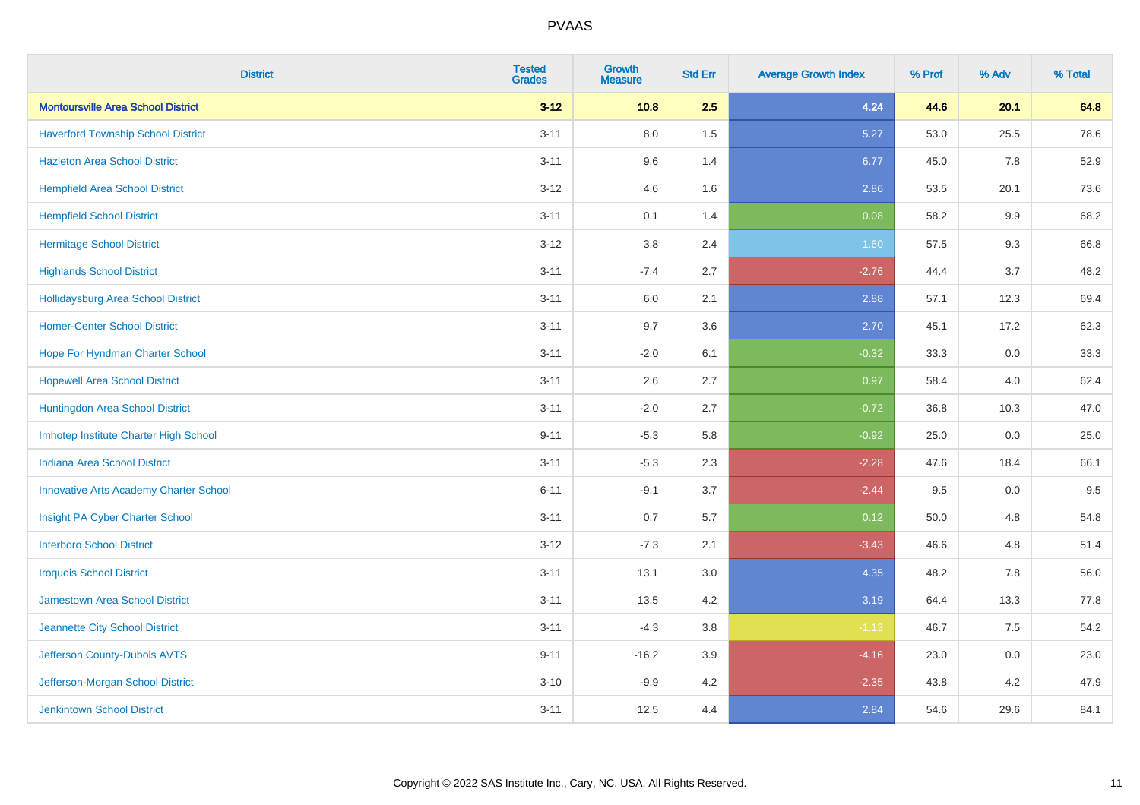| <b>District</b>                               | <b>Tested</b><br><b>Grades</b> | <b>Growth</b><br><b>Measure</b> | <b>Std Err</b> | <b>Average Growth Index</b> | % Prof | % Adv | % Total |
|-----------------------------------------------|--------------------------------|---------------------------------|----------------|-----------------------------|--------|-------|---------|
| <b>Montoursville Area School District</b>     | $3 - 12$                       | 10.8                            | 2.5            | 4.24                        | 44.6   | 20.1  | 64.8    |
| <b>Haverford Township School District</b>     | $3 - 11$                       | $8.0\,$                         | 1.5            | 5.27                        | 53.0   | 25.5  | 78.6    |
| <b>Hazleton Area School District</b>          | $3 - 11$                       | 9.6                             | 1.4            | 6.77                        | 45.0   | 7.8   | 52.9    |
| <b>Hempfield Area School District</b>         | $3 - 12$                       | 4.6                             | 1.6            | 2.86                        | 53.5   | 20.1  | 73.6    |
| <b>Hempfield School District</b>              | $3 - 11$                       | 0.1                             | 1.4            | 0.08                        | 58.2   | 9.9   | 68.2    |
| <b>Hermitage School District</b>              | $3 - 12$                       | 3.8                             | 2.4            | 1.60                        | 57.5   | 9.3   | 66.8    |
| <b>Highlands School District</b>              | $3 - 11$                       | $-7.4$                          | 2.7            | $-2.76$                     | 44.4   | 3.7   | 48.2    |
| <b>Hollidaysburg Area School District</b>     | $3 - 11$                       | 6.0                             | 2.1            | 2.88                        | 57.1   | 12.3  | 69.4    |
| <b>Homer-Center School District</b>           | $3 - 11$                       | 9.7                             | 3.6            | 2.70                        | 45.1   | 17.2  | 62.3    |
| Hope For Hyndman Charter School               | $3 - 11$                       | $-2.0$                          | 6.1            | $-0.32$                     | 33.3   | 0.0   | 33.3    |
| <b>Hopewell Area School District</b>          | $3 - 11$                       | 2.6                             | 2.7            | 0.97                        | 58.4   | 4.0   | 62.4    |
| Huntingdon Area School District               | $3 - 11$                       | $-2.0$                          | 2.7            | $-0.72$                     | 36.8   | 10.3  | 47.0    |
| Imhotep Institute Charter High School         | $9 - 11$                       | $-5.3$                          | 5.8            | $-0.92$                     | 25.0   | 0.0   | 25.0    |
| <b>Indiana Area School District</b>           | $3 - 11$                       | $-5.3$                          | 2.3            | $-2.28$                     | 47.6   | 18.4  | 66.1    |
| <b>Innovative Arts Academy Charter School</b> | $6 - 11$                       | $-9.1$                          | 3.7            | $-2.44$                     | 9.5    | 0.0   | 9.5     |
| Insight PA Cyber Charter School               | $3 - 11$                       | 0.7                             | 5.7            | 0.12                        | 50.0   | 4.8   | 54.8    |
| <b>Interboro School District</b>              | $3 - 12$                       | $-7.3$                          | 2.1            | $-3.43$                     | 46.6   | 4.8   | 51.4    |
| <b>Iroquois School District</b>               | $3 - 11$                       | 13.1                            | 3.0            | 4.35                        | 48.2   | 7.8   | 56.0    |
| <b>Jamestown Area School District</b>         | $3 - 11$                       | 13.5                            | 4.2            | 3.19                        | 64.4   | 13.3  | 77.8    |
| Jeannette City School District                | $3 - 11$                       | $-4.3$                          | 3.8            | $-1.13$                     | 46.7   | 7.5   | 54.2    |
| Jefferson County-Dubois AVTS                  | $9 - 11$                       | $-16.2$                         | 3.9            | $-4.16$                     | 23.0   | 0.0   | 23.0    |
| Jefferson-Morgan School District              | $3 - 10$                       | $-9.9$                          | 4.2            | $-2.35$                     | 43.8   | 4.2   | 47.9    |
| <b>Jenkintown School District</b>             | $3 - 11$                       | 12.5                            | 4.4            | 2.84                        | 54.6   | 29.6  | 84.1    |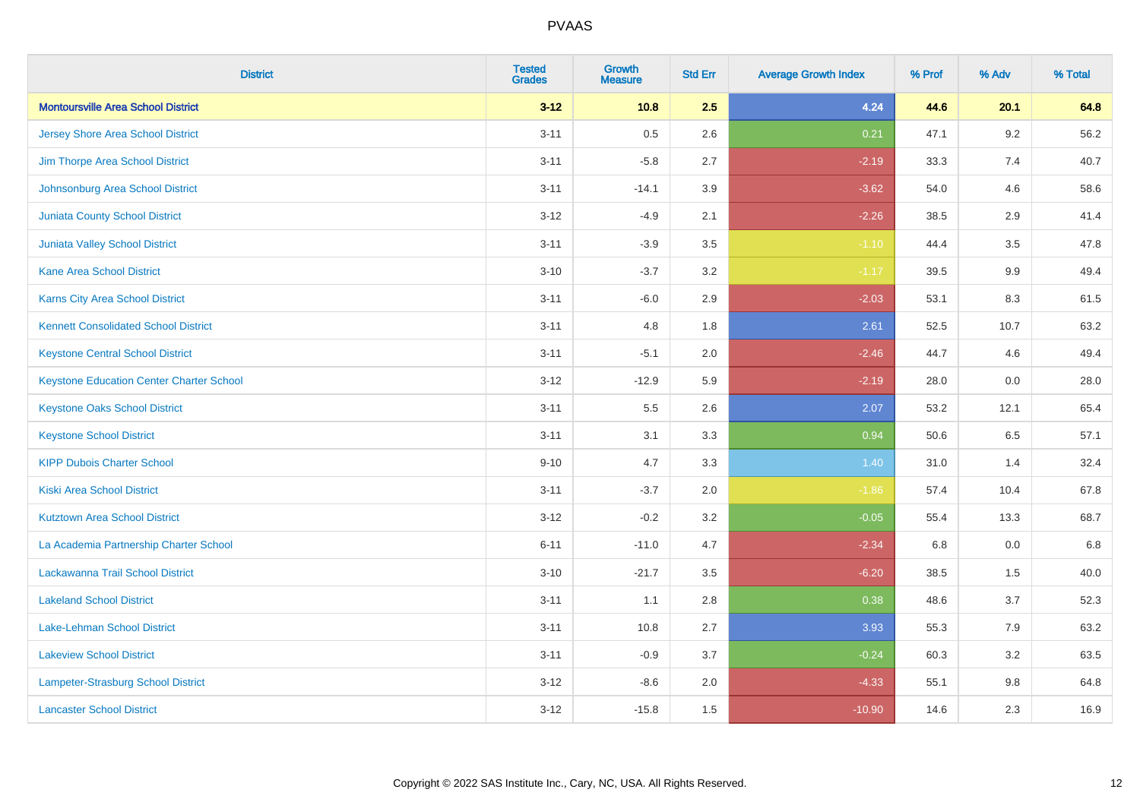| <b>District</b>                                 | <b>Tested</b><br><b>Grades</b> | <b>Growth</b><br><b>Measure</b> | <b>Std Err</b> | <b>Average Growth Index</b> | % Prof | % Adv   | % Total |
|-------------------------------------------------|--------------------------------|---------------------------------|----------------|-----------------------------|--------|---------|---------|
| <b>Montoursville Area School District</b>       | $3 - 12$                       | 10.8                            | 2.5            | 4.24                        | 44.6   | 20.1    | 64.8    |
| <b>Jersey Shore Area School District</b>        | $3 - 11$                       | 0.5                             | 2.6            | 0.21                        | 47.1   | $9.2\,$ | 56.2    |
| Jim Thorpe Area School District                 | $3 - 11$                       | $-5.8$                          | 2.7            | $-2.19$                     | 33.3   | 7.4     | 40.7    |
| Johnsonburg Area School District                | $3 - 11$                       | $-14.1$                         | 3.9            | $-3.62$                     | 54.0   | 4.6     | 58.6    |
| <b>Juniata County School District</b>           | $3 - 12$                       | $-4.9$                          | 2.1            | $-2.26$                     | 38.5   | 2.9     | 41.4    |
| <b>Juniata Valley School District</b>           | $3 - 11$                       | $-3.9$                          | 3.5            | $-1.10$                     | 44.4   | 3.5     | 47.8    |
| <b>Kane Area School District</b>                | $3 - 10$                       | $-3.7$                          | 3.2            | $-1.17$                     | 39.5   | 9.9     | 49.4    |
| <b>Karns City Area School District</b>          | $3 - 11$                       | $-6.0$                          | 2.9            | $-2.03$                     | 53.1   | 8.3     | 61.5    |
| <b>Kennett Consolidated School District</b>     | $3 - 11$                       | 4.8                             | 1.8            | 2.61                        | 52.5   | 10.7    | 63.2    |
| <b>Keystone Central School District</b>         | $3 - 11$                       | $-5.1$                          | 2.0            | $-2.46$                     | 44.7   | 4.6     | 49.4    |
| <b>Keystone Education Center Charter School</b> | $3 - 12$                       | $-12.9$                         | 5.9            | $-2.19$                     | 28.0   | 0.0     | 28.0    |
| <b>Keystone Oaks School District</b>            | $3 - 11$                       | 5.5                             | 2.6            | 2.07                        | 53.2   | 12.1    | 65.4    |
| <b>Keystone School District</b>                 | $3 - 11$                       | 3.1                             | 3.3            | 0.94                        | 50.6   | $6.5\,$ | 57.1    |
| <b>KIPP Dubois Charter School</b>               | $9 - 10$                       | 4.7                             | 3.3            | 1.40                        | 31.0   | 1.4     | 32.4    |
| <b>Kiski Area School District</b>               | $3 - 11$                       | $-3.7$                          | 2.0            | $-1.86$                     | 57.4   | 10.4    | 67.8    |
| <b>Kutztown Area School District</b>            | $3 - 12$                       | $-0.2$                          | 3.2            | $-0.05$                     | 55.4   | 13.3    | 68.7    |
| La Academia Partnership Charter School          | $6 - 11$                       | $-11.0$                         | 4.7            | $-2.34$                     | 6.8    | 0.0     | 6.8     |
| Lackawanna Trail School District                | $3 - 10$                       | $-21.7$                         | 3.5            | $-6.20$                     | 38.5   | 1.5     | 40.0    |
| <b>Lakeland School District</b>                 | $3 - 11$                       | 1.1                             | 2.8            | 0.38                        | 48.6   | 3.7     | 52.3    |
| Lake-Lehman School District                     | $3 - 11$                       | 10.8                            | 2.7            | 3.93                        | 55.3   | 7.9     | 63.2    |
| <b>Lakeview School District</b>                 | $3 - 11$                       | $-0.9$                          | 3.7            | $-0.24$                     | 60.3   | 3.2     | 63.5    |
| Lampeter-Strasburg School District              | $3 - 12$                       | $-8.6$                          | 2.0            | $-4.33$                     | 55.1   | 9.8     | 64.8    |
| <b>Lancaster School District</b>                | $3 - 12$                       | $-15.8$                         | 1.5            | $-10.90$                    | 14.6   | 2.3     | 16.9    |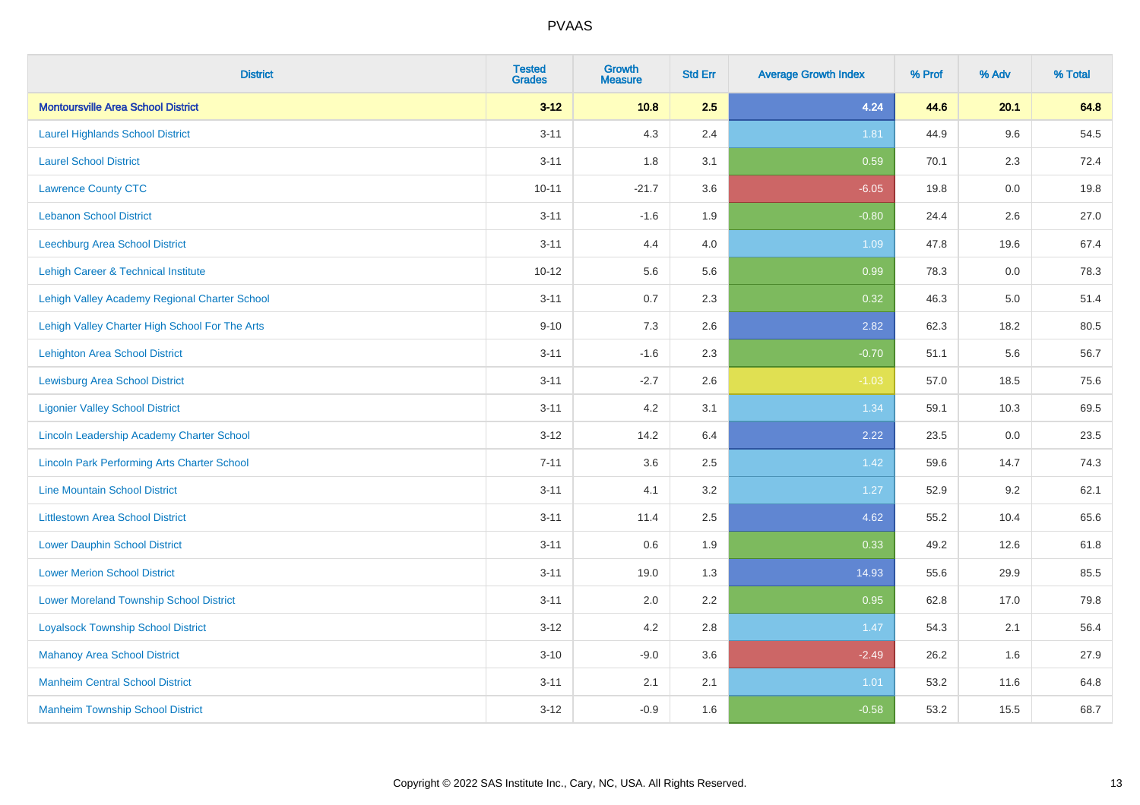| <b>District</b>                                    | <b>Tested</b><br><b>Grades</b> | Growth<br><b>Measure</b> | <b>Std Err</b> | <b>Average Growth Index</b> | % Prof | % Adv   | % Total |
|----------------------------------------------------|--------------------------------|--------------------------|----------------|-----------------------------|--------|---------|---------|
| <b>Montoursville Area School District</b>          | $3 - 12$                       | 10.8                     | 2.5            | 4.24                        | 44.6   | 20.1    | 64.8    |
| <b>Laurel Highlands School District</b>            | $3 - 11$                       | 4.3                      | 2.4            | 1.81                        | 44.9   | 9.6     | 54.5    |
| <b>Laurel School District</b>                      | $3 - 11$                       | 1.8                      | 3.1            | 0.59                        | 70.1   | 2.3     | 72.4    |
| <b>Lawrence County CTC</b>                         | $10 - 11$                      | $-21.7$                  | 3.6            | $-6.05$                     | 19.8   | $0.0\,$ | 19.8    |
| <b>Lebanon School District</b>                     | $3 - 11$                       | $-1.6$                   | 1.9            | $-0.80$                     | 24.4   | 2.6     | 27.0    |
| <b>Leechburg Area School District</b>              | $3 - 11$                       | 4.4                      | 4.0            | 1.09                        | 47.8   | 19.6    | 67.4    |
| Lehigh Career & Technical Institute                | $10 - 12$                      | 5.6                      | 5.6            | 0.99                        | 78.3   | 0.0     | 78.3    |
| Lehigh Valley Academy Regional Charter School      | $3 - 11$                       | 0.7                      | 2.3            | 0.32                        | 46.3   | 5.0     | 51.4    |
| Lehigh Valley Charter High School For The Arts     | $9 - 10$                       | 7.3                      | 2.6            | 2.82                        | 62.3   | 18.2    | 80.5    |
| <b>Lehighton Area School District</b>              | $3 - 11$                       | $-1.6$                   | 2.3            | $-0.70$                     | 51.1   | 5.6     | 56.7    |
| <b>Lewisburg Area School District</b>              | $3 - 11$                       | $-2.7$                   | 2.6            | $-1.03$                     | 57.0   | 18.5    | 75.6    |
| <b>Ligonier Valley School District</b>             | $3 - 11$                       | 4.2                      | 3.1            | 1.34                        | 59.1   | 10.3    | 69.5    |
| Lincoln Leadership Academy Charter School          | $3 - 12$                       | 14.2                     | 6.4            | 2.22                        | 23.5   | 0.0     | 23.5    |
| <b>Lincoln Park Performing Arts Charter School</b> | $7 - 11$                       | 3.6                      | 2.5            | 1.42                        | 59.6   | 14.7    | 74.3    |
| <b>Line Mountain School District</b>               | $3 - 11$                       | 4.1                      | 3.2            | 1.27                        | 52.9   | 9.2     | 62.1    |
| <b>Littlestown Area School District</b>            | $3 - 11$                       | 11.4                     | 2.5            | 4.62                        | 55.2   | 10.4    | 65.6    |
| <b>Lower Dauphin School District</b>               | $3 - 11$                       | 0.6                      | 1.9            | 0.33                        | 49.2   | 12.6    | 61.8    |
| <b>Lower Merion School District</b>                | $3 - 11$                       | 19.0                     | 1.3            | 14.93                       | 55.6   | 29.9    | 85.5    |
| <b>Lower Moreland Township School District</b>     | $3 - 11$                       | 2.0                      | 2.2            | 0.95                        | 62.8   | 17.0    | 79.8    |
| <b>Loyalsock Township School District</b>          | $3 - 12$                       | 4.2                      | 2.8            | 1.47                        | 54.3   | 2.1     | 56.4    |
| <b>Mahanoy Area School District</b>                | $3 - 10$                       | $-9.0$                   | 3.6            | $-2.49$                     | 26.2   | 1.6     | 27.9    |
| <b>Manheim Central School District</b>             | $3 - 11$                       | 2.1                      | 2.1            | 1.01                        | 53.2   | 11.6    | 64.8    |
| <b>Manheim Township School District</b>            | $3 - 12$                       | $-0.9$                   | 1.6            | $-0.58$                     | 53.2   | 15.5    | 68.7    |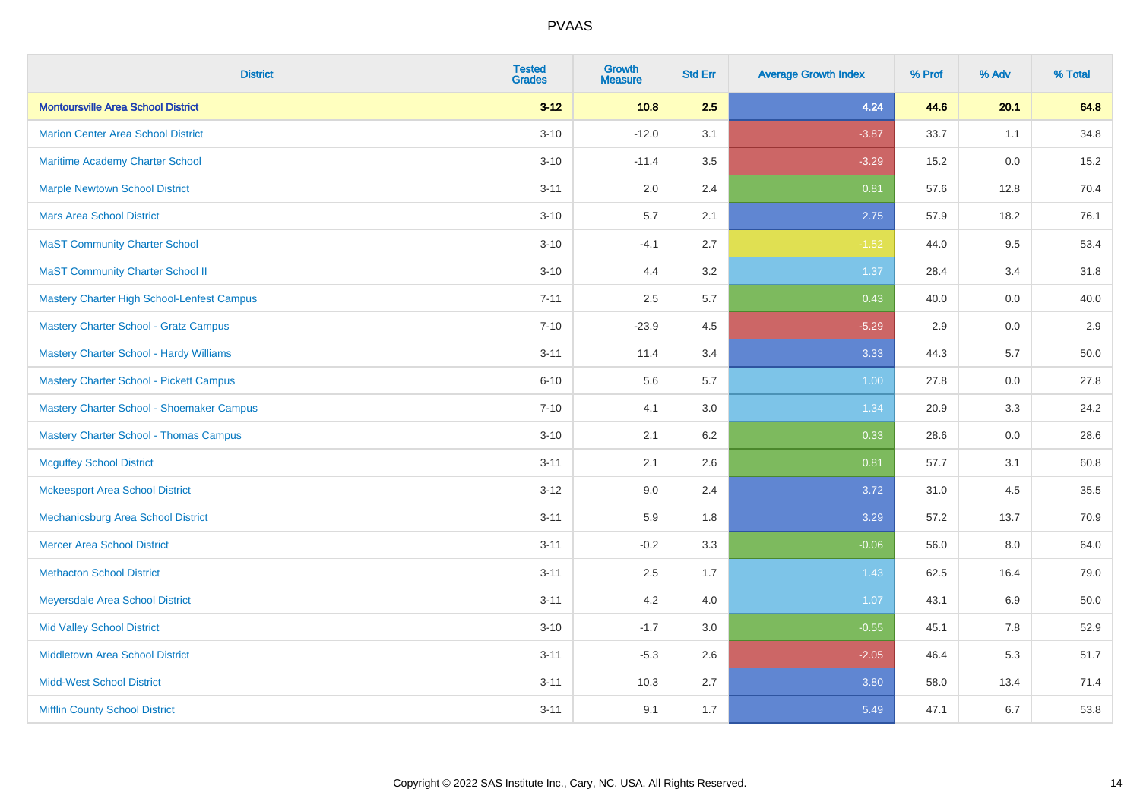| <b>District</b>                                | <b>Tested</b><br><b>Grades</b> | <b>Growth</b><br><b>Measure</b> | <b>Std Err</b> | <b>Average Growth Index</b> | % Prof | % Adv | % Total |
|------------------------------------------------|--------------------------------|---------------------------------|----------------|-----------------------------|--------|-------|---------|
| <b>Montoursville Area School District</b>      | $3 - 12$                       | 10.8                            | 2.5            | 4.24                        | 44.6   | 20.1  | 64.8    |
| <b>Marion Center Area School District</b>      | $3 - 10$                       | $-12.0$                         | 3.1            | $-3.87$                     | 33.7   | 1.1   | 34.8    |
| <b>Maritime Academy Charter School</b>         | $3 - 10$                       | $-11.4$                         | 3.5            | $-3.29$                     | 15.2   | 0.0   | 15.2    |
| <b>Marple Newtown School District</b>          | $3 - 11$                       | 2.0                             | 2.4            | 0.81                        | 57.6   | 12.8  | 70.4    |
| <b>Mars Area School District</b>               | $3 - 10$                       | 5.7                             | 2.1            | 2.75                        | 57.9   | 18.2  | 76.1    |
| <b>MaST Community Charter School</b>           | $3 - 10$                       | $-4.1$                          | 2.7            | $-1.52$                     | 44.0   | 9.5   | 53.4    |
| <b>MaST Community Charter School II</b>        | $3 - 10$                       | 4.4                             | 3.2            | 1.37                        | 28.4   | 3.4   | 31.8    |
| Mastery Charter High School-Lenfest Campus     | $7 - 11$                       | 2.5                             | 5.7            | 0.43                        | 40.0   | 0.0   | 40.0    |
| <b>Mastery Charter School - Gratz Campus</b>   | $7 - 10$                       | $-23.9$                         | 4.5            | $-5.29$                     | 2.9    | 0.0   | $2.9\,$ |
| <b>Mastery Charter School - Hardy Williams</b> | $3 - 11$                       | 11.4                            | 3.4            | 3.33                        | 44.3   | 5.7   | 50.0    |
| <b>Mastery Charter School - Pickett Campus</b> | $6 - 10$                       | 5.6                             | 5.7            | 1.00                        | 27.8   | 0.0   | 27.8    |
| Mastery Charter School - Shoemaker Campus      | $7 - 10$                       | 4.1                             | 3.0            | 1.34                        | 20.9   | 3.3   | 24.2    |
| <b>Mastery Charter School - Thomas Campus</b>  | $3 - 10$                       | 2.1                             | 6.2            | 0.33                        | 28.6   | 0.0   | 28.6    |
| <b>Mcguffey School District</b>                | $3 - 11$                       | 2.1                             | 2.6            | 0.81                        | 57.7   | 3.1   | 60.8    |
| <b>Mckeesport Area School District</b>         | $3 - 12$                       | 9.0                             | 2.4            | 3.72                        | 31.0   | 4.5   | 35.5    |
| Mechanicsburg Area School District             | $3 - 11$                       | 5.9                             | 1.8            | 3.29                        | 57.2   | 13.7  | 70.9    |
| <b>Mercer Area School District</b>             | $3 - 11$                       | $-0.2$                          | 3.3            | $-0.06$                     | 56.0   | 8.0   | 64.0    |
| <b>Methacton School District</b>               | $3 - 11$                       | 2.5                             | 1.7            | 1.43                        | 62.5   | 16.4  | 79.0    |
| Meyersdale Area School District                | $3 - 11$                       | 4.2                             | 4.0            | 1.07                        | 43.1   | 6.9   | 50.0    |
| <b>Mid Valley School District</b>              | $3 - 10$                       | $-1.7$                          | 3.0            | $-0.55$                     | 45.1   | 7.8   | 52.9    |
| <b>Middletown Area School District</b>         | $3 - 11$                       | $-5.3$                          | 2.6            | $-2.05$                     | 46.4   | 5.3   | 51.7    |
| <b>Midd-West School District</b>               | $3 - 11$                       | 10.3                            | 2.7            | 3.80                        | 58.0   | 13.4  | 71.4    |
| <b>Mifflin County School District</b>          | $3 - 11$                       | 9.1                             | 1.7            | 5.49                        | 47.1   | 6.7   | 53.8    |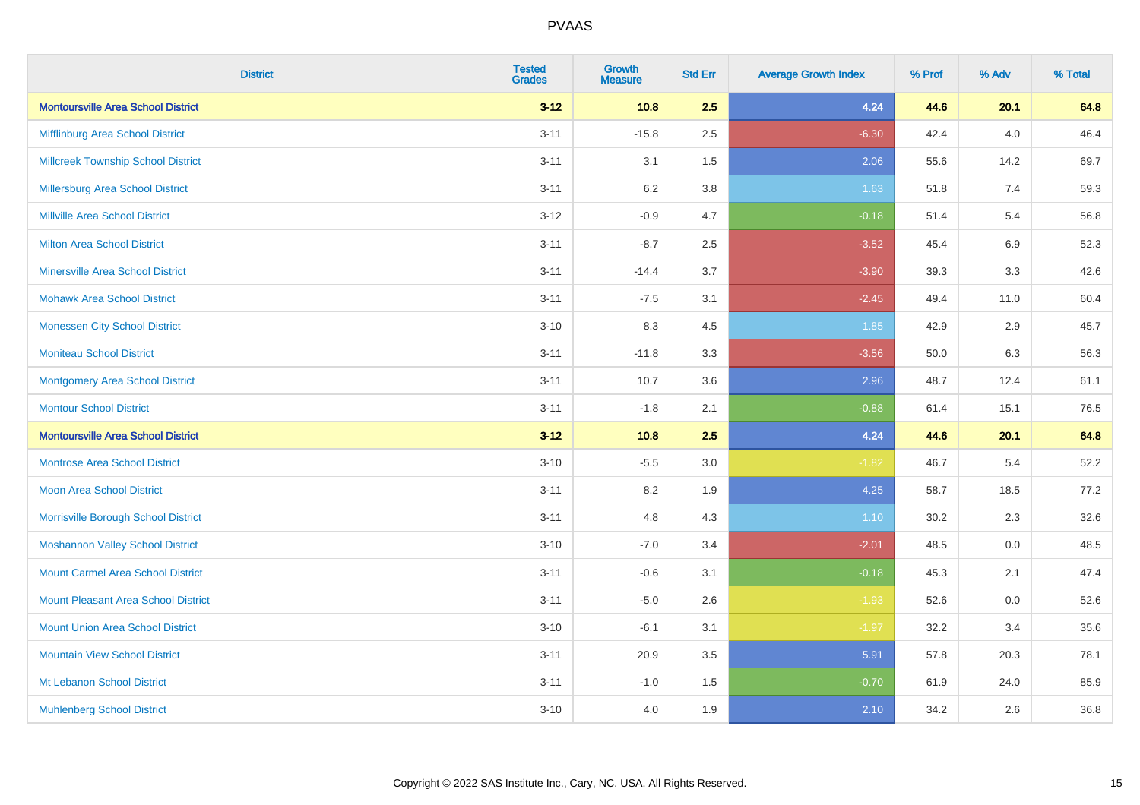| <b>District</b>                            | <b>Tested</b><br><b>Grades</b> | <b>Growth</b><br><b>Measure</b> | <b>Std Err</b> | <b>Average Growth Index</b> | % Prof | % Adv   | % Total |
|--------------------------------------------|--------------------------------|---------------------------------|----------------|-----------------------------|--------|---------|---------|
| <b>Montoursville Area School District</b>  | $3 - 12$                       | 10.8                            | 2.5            | 4.24                        | 44.6   | 20.1    | 64.8    |
| Mifflinburg Area School District           | $3 - 11$                       | $-15.8$                         | 2.5            | $-6.30$                     | 42.4   | 4.0     | 46.4    |
| <b>Millcreek Township School District</b>  | $3 - 11$                       | 3.1                             | 1.5            | 2.06                        | 55.6   | 14.2    | 69.7    |
| <b>Millersburg Area School District</b>    | $3 - 11$                       | 6.2                             | 3.8            | 1.63                        | 51.8   | 7.4     | 59.3    |
| <b>Millville Area School District</b>      | $3 - 12$                       | $-0.9$                          | 4.7            | $-0.18$                     | 51.4   | 5.4     | 56.8    |
| <b>Milton Area School District</b>         | $3 - 11$                       | $-8.7$                          | 2.5            | $-3.52$                     | 45.4   | $6.9\,$ | 52.3    |
| <b>Minersville Area School District</b>    | $3 - 11$                       | $-14.4$                         | 3.7            | $-3.90$                     | 39.3   | 3.3     | 42.6    |
| <b>Mohawk Area School District</b>         | $3 - 11$                       | $-7.5$                          | 3.1            | $-2.45$                     | 49.4   | 11.0    | 60.4    |
| <b>Monessen City School District</b>       | $3 - 10$                       | 8.3                             | 4.5            | 1.85                        | 42.9   | 2.9     | 45.7    |
| <b>Moniteau School District</b>            | $3 - 11$                       | $-11.8$                         | 3.3            | $-3.56$                     | 50.0   | 6.3     | 56.3    |
| <b>Montgomery Area School District</b>     | $3 - 11$                       | 10.7                            | 3.6            | 2.96                        | 48.7   | 12.4    | 61.1    |
| <b>Montour School District</b>             | $3 - 11$                       | $-1.8$                          | 2.1            | $-0.88$                     | 61.4   | 15.1    | 76.5    |
| <b>Montoursville Area School District</b>  | $3 - 12$                       | 10.8                            | 2.5            | 4.24                        | 44.6   | 20.1    | 64.8    |
| <b>Montrose Area School District</b>       | $3 - 10$                       | $-5.5$                          | 3.0            | $-1.82$                     | 46.7   | 5.4     | 52.2    |
| Moon Area School District                  | $3 - 11$                       | 8.2                             | 1.9            | 4.25                        | 58.7   | 18.5    | 77.2    |
| Morrisville Borough School District        | $3 - 11$                       | 4.8                             | 4.3            | 1.10                        | 30.2   | 2.3     | 32.6    |
| <b>Moshannon Valley School District</b>    | $3 - 10$                       | $-7.0$                          | 3.4            | $-2.01$                     | 48.5   | 0.0     | 48.5    |
| <b>Mount Carmel Area School District</b>   | $3 - 11$                       | $-0.6$                          | 3.1            | $-0.18$                     | 45.3   | 2.1     | 47.4    |
| <b>Mount Pleasant Area School District</b> | $3 - 11$                       | $-5.0$                          | 2.6            | $-1.93$                     | 52.6   | 0.0     | 52.6    |
| <b>Mount Union Area School District</b>    | $3 - 10$                       | $-6.1$                          | 3.1            | $-1.97$                     | 32.2   | 3.4     | 35.6    |
| <b>Mountain View School District</b>       | $3 - 11$                       | 20.9                            | 3.5            | 5.91                        | 57.8   | 20.3    | 78.1    |
| Mt Lebanon School District                 | $3 - 11$                       | $-1.0$                          | 1.5            | $-0.70$                     | 61.9   | 24.0    | 85.9    |
| <b>Muhlenberg School District</b>          | $3 - 10$                       | 4.0                             | 1.9            | 2.10                        | 34.2   | 2.6     | 36.8    |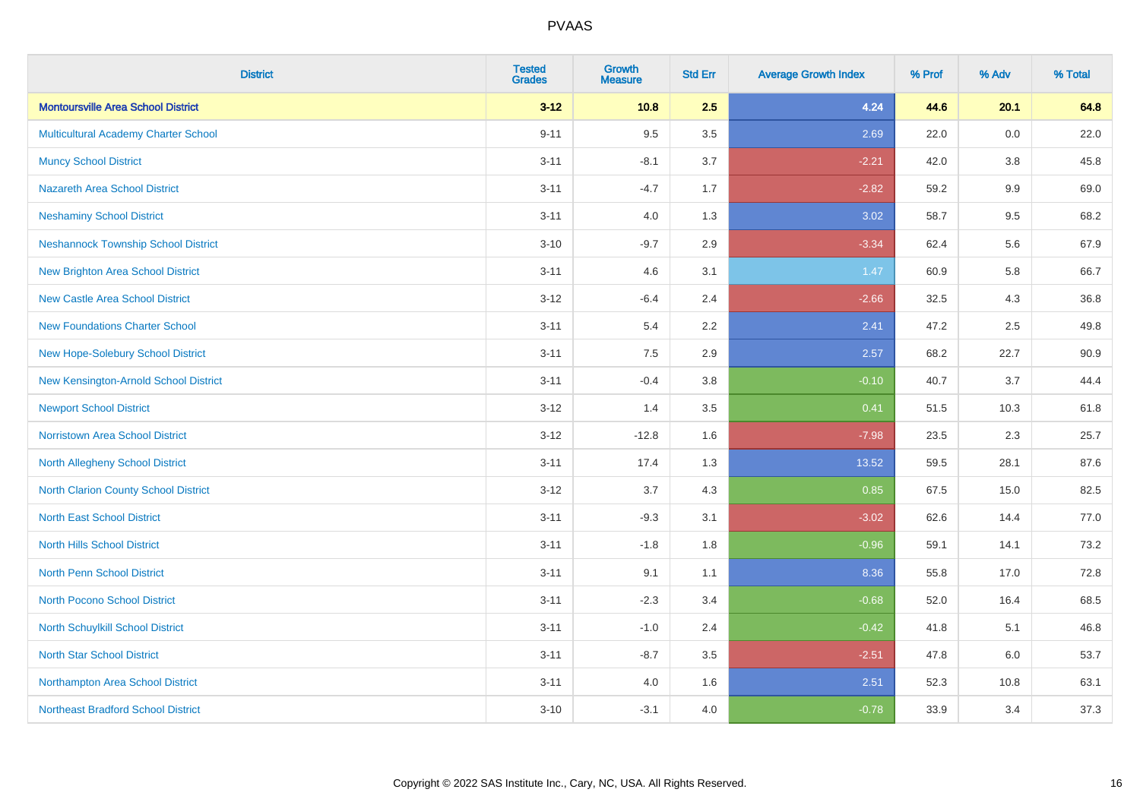| <b>District</b>                             | <b>Tested</b><br><b>Grades</b> | <b>Growth</b><br><b>Measure</b> | <b>Std Err</b> | <b>Average Growth Index</b> | % Prof | % Adv   | % Total |
|---------------------------------------------|--------------------------------|---------------------------------|----------------|-----------------------------|--------|---------|---------|
| <b>Montoursville Area School District</b>   | $3 - 12$                       | 10.8                            | 2.5            | 4.24                        | 44.6   | 20.1    | 64.8    |
| <b>Multicultural Academy Charter School</b> | $9 - 11$                       | 9.5                             | 3.5            | 2.69                        | 22.0   | 0.0     | 22.0    |
| <b>Muncy School District</b>                | $3 - 11$                       | $-8.1$                          | 3.7            | $-2.21$                     | 42.0   | 3.8     | 45.8    |
| <b>Nazareth Area School District</b>        | $3 - 11$                       | $-4.7$                          | 1.7            | $-2.82$                     | 59.2   | $9.9\,$ | 69.0    |
| <b>Neshaminy School District</b>            | $3 - 11$                       | 4.0                             | 1.3            | 3.02                        | 58.7   | 9.5     | 68.2    |
| <b>Neshannock Township School District</b>  | $3 - 10$                       | $-9.7$                          | 2.9            | $-3.34$                     | 62.4   | 5.6     | 67.9    |
| <b>New Brighton Area School District</b>    | $3 - 11$                       | 4.6                             | 3.1            | 1.47                        | 60.9   | 5.8     | 66.7    |
| <b>New Castle Area School District</b>      | $3 - 12$                       | $-6.4$                          | 2.4            | $-2.66$                     | 32.5   | 4.3     | 36.8    |
| <b>New Foundations Charter School</b>       | $3 - 11$                       | 5.4                             | 2.2            | 2.41                        | 47.2   | 2.5     | 49.8    |
| New Hope-Solebury School District           | $3 - 11$                       | 7.5                             | 2.9            | 2.57                        | 68.2   | 22.7    | 90.9    |
| New Kensington-Arnold School District       | $3 - 11$                       | $-0.4$                          | 3.8            | $-0.10$                     | 40.7   | 3.7     | 44.4    |
| <b>Newport School District</b>              | $3 - 12$                       | 1.4                             | 3.5            | 0.41                        | 51.5   | 10.3    | 61.8    |
| Norristown Area School District             | $3 - 12$                       | $-12.8$                         | 1.6            | $-7.98$                     | 23.5   | 2.3     | 25.7    |
| <b>North Allegheny School District</b>      | $3 - 11$                       | 17.4                            | 1.3            | 13.52                       | 59.5   | 28.1    | 87.6    |
| <b>North Clarion County School District</b> | $3 - 12$                       | 3.7                             | 4.3            | 0.85                        | 67.5   | 15.0    | 82.5    |
| <b>North East School District</b>           | $3 - 11$                       | $-9.3$                          | 3.1            | $-3.02$                     | 62.6   | 14.4    | 77.0    |
| <b>North Hills School District</b>          | $3 - 11$                       | $-1.8$                          | 1.8            | $-0.96$                     | 59.1   | 14.1    | 73.2    |
| <b>North Penn School District</b>           | $3 - 11$                       | 9.1                             | 1.1            | 8.36                        | 55.8   | 17.0    | 72.8    |
| North Pocono School District                | $3 - 11$                       | $-2.3$                          | 3.4            | $-0.68$                     | 52.0   | 16.4    | 68.5    |
| North Schuylkill School District            | $3 - 11$                       | $-1.0$                          | 2.4            | $-0.42$                     | 41.8   | 5.1     | 46.8    |
| <b>North Star School District</b>           | $3 - 11$                       | $-8.7$                          | 3.5            | $-2.51$                     | 47.8   | 6.0     | 53.7    |
| Northampton Area School District            | $3 - 11$                       | 4.0                             | 1.6            | 2.51                        | 52.3   | 10.8    | 63.1    |
| <b>Northeast Bradford School District</b>   | $3 - 10$                       | $-3.1$                          | 4.0            | $-0.78$                     | 33.9   | 3.4     | 37.3    |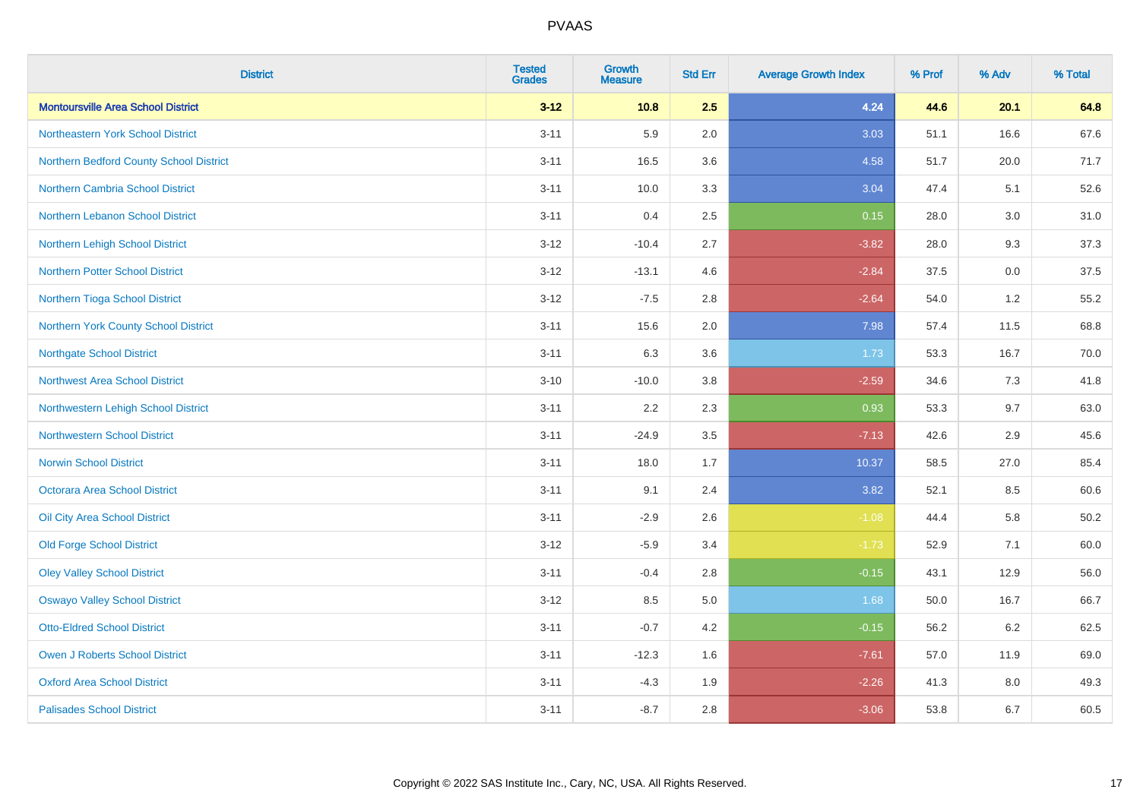| <b>District</b>                           | <b>Tested</b><br><b>Grades</b> | <b>Growth</b><br><b>Measure</b> | <b>Std Err</b> | <b>Average Growth Index</b> | % Prof | % Adv | % Total |
|-------------------------------------------|--------------------------------|---------------------------------|----------------|-----------------------------|--------|-------|---------|
| <b>Montoursville Area School District</b> | $3 - 12$                       | 10.8                            | 2.5            | 4.24                        | 44.6   | 20.1  | 64.8    |
| Northeastern York School District         | $3 - 11$                       | 5.9                             | 2.0            | 3.03                        | 51.1   | 16.6  | 67.6    |
| Northern Bedford County School District   | $3 - 11$                       | 16.5                            | 3.6            | 4.58                        | 51.7   | 20.0  | 71.7    |
| Northern Cambria School District          | $3 - 11$                       | 10.0                            | 3.3            | 3.04                        | 47.4   | 5.1   | 52.6    |
| Northern Lebanon School District          | $3 - 11$                       | 0.4                             | 2.5            | 0.15                        | 28.0   | 3.0   | 31.0    |
| Northern Lehigh School District           | $3 - 12$                       | $-10.4$                         | 2.7            | $-3.82$                     | 28.0   | 9.3   | 37.3    |
| <b>Northern Potter School District</b>    | $3 - 12$                       | $-13.1$                         | 4.6            | $-2.84$                     | 37.5   | 0.0   | 37.5    |
| Northern Tioga School District            | $3 - 12$                       | $-7.5$                          | 2.8            | $-2.64$                     | 54.0   | 1.2   | 55.2    |
| Northern York County School District      | $3 - 11$                       | 15.6                            | 2.0            | 7.98                        | 57.4   | 11.5  | 68.8    |
| <b>Northgate School District</b>          | $3 - 11$                       | 6.3                             | 3.6            | 1.73                        | 53.3   | 16.7  | 70.0    |
| Northwest Area School District            | $3 - 10$                       | $-10.0$                         | 3.8            | $-2.59$                     | 34.6   | 7.3   | 41.8    |
| Northwestern Lehigh School District       | $3 - 11$                       | 2.2                             | 2.3            | 0.93                        | 53.3   | 9.7   | 63.0    |
| <b>Northwestern School District</b>       | $3 - 11$                       | $-24.9$                         | 3.5            | $-7.13$                     | 42.6   | 2.9   | 45.6    |
| <b>Norwin School District</b>             | $3 - 11$                       | 18.0                            | 1.7            | 10.37                       | 58.5   | 27.0  | 85.4    |
| Octorara Area School District             | $3 - 11$                       | 9.1                             | 2.4            | 3.82                        | 52.1   | 8.5   | 60.6    |
| Oil City Area School District             | $3 - 11$                       | $-2.9$                          | 2.6            | $-1.08$                     | 44.4   | 5.8   | 50.2    |
| <b>Old Forge School District</b>          | $3 - 12$                       | $-5.9$                          | 3.4            | $-1.73$                     | 52.9   | 7.1   | 60.0    |
| <b>Oley Valley School District</b>        | $3 - 11$                       | $-0.4$                          | 2.8            | $-0.15$                     | 43.1   | 12.9  | 56.0    |
| <b>Oswayo Valley School District</b>      | $3 - 12$                       | 8.5                             | $5.0\,$        | 1.68                        | 50.0   | 16.7  | 66.7    |
| <b>Otto-Eldred School District</b>        | $3 - 11$                       | $-0.7$                          | 4.2            | $-0.15$                     | 56.2   | 6.2   | 62.5    |
| <b>Owen J Roberts School District</b>     | $3 - 11$                       | $-12.3$                         | 1.6            | $-7.61$                     | 57.0   | 11.9  | 69.0    |
| <b>Oxford Area School District</b>        | $3 - 11$                       | $-4.3$                          | 1.9            | $-2.26$                     | 41.3   | 8.0   | 49.3    |
| <b>Palisades School District</b>          | $3 - 11$                       | $-8.7$                          | 2.8            | $-3.06$                     | 53.8   | 6.7   | 60.5    |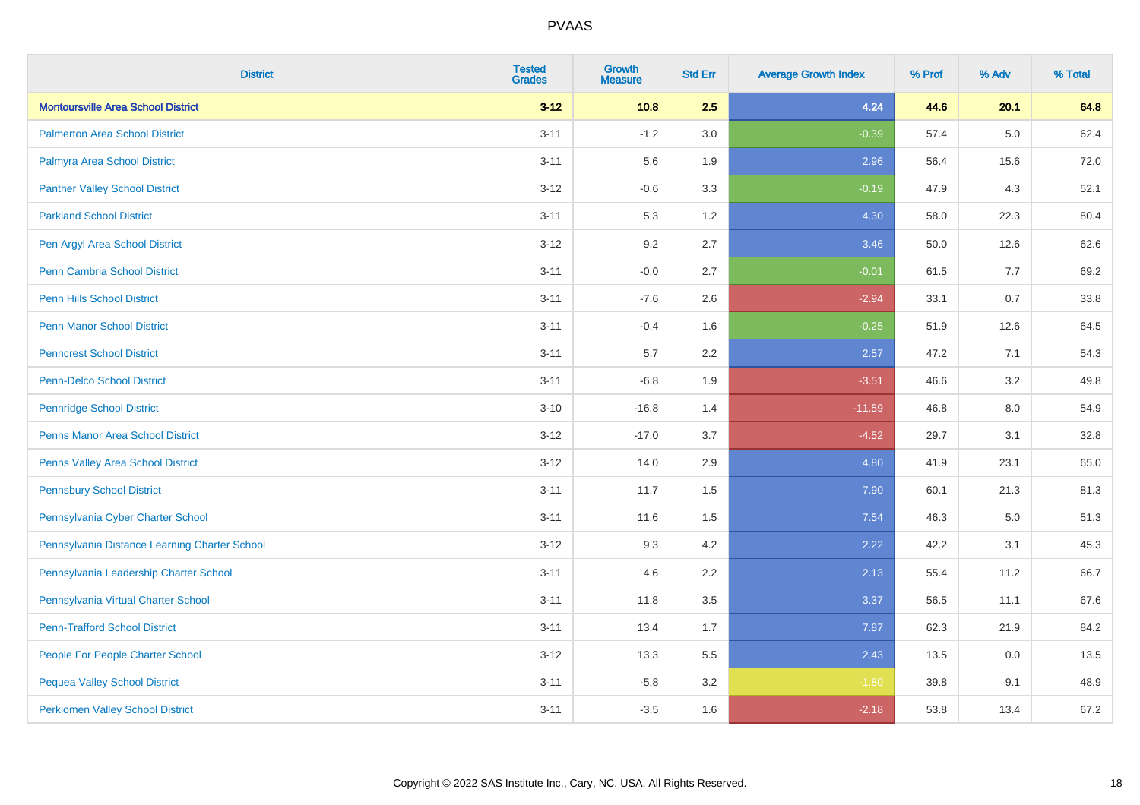| <b>District</b>                               | <b>Tested</b><br><b>Grades</b> | Growth<br><b>Measure</b> | <b>Std Err</b> | <b>Average Growth Index</b> | % Prof | % Adv   | % Total |
|-----------------------------------------------|--------------------------------|--------------------------|----------------|-----------------------------|--------|---------|---------|
| <b>Montoursville Area School District</b>     | $3 - 12$                       | 10.8                     | 2.5            | 4.24                        | 44.6   | 20.1    | 64.8    |
| <b>Palmerton Area School District</b>         | $3 - 11$                       | $-1.2$                   | 3.0            | $-0.39$                     | 57.4   | $5.0\,$ | 62.4    |
| Palmyra Area School District                  | $3 - 11$                       | 5.6                      | 1.9            | 2.96                        | 56.4   | 15.6    | 72.0    |
| <b>Panther Valley School District</b>         | $3 - 12$                       | $-0.6$                   | 3.3            | $-0.19$                     | 47.9   | 4.3     | 52.1    |
| <b>Parkland School District</b>               | $3 - 11$                       | 5.3                      | 1.2            | 4.30                        | 58.0   | 22.3    | 80.4    |
| Pen Argyl Area School District                | $3 - 12$                       | 9.2                      | 2.7            | 3.46                        | 50.0   | 12.6    | 62.6    |
| <b>Penn Cambria School District</b>           | $3 - 11$                       | $-0.0$                   | 2.7            | $-0.01$                     | 61.5   | 7.7     | 69.2    |
| <b>Penn Hills School District</b>             | $3 - 11$                       | $-7.6$                   | 2.6            | $-2.94$                     | 33.1   | 0.7     | 33.8    |
| <b>Penn Manor School District</b>             | $3 - 11$                       | $-0.4$                   | 1.6            | $-0.25$                     | 51.9   | 12.6    | 64.5    |
| <b>Penncrest School District</b>              | $3 - 11$                       | 5.7                      | 2.2            | 2.57                        | 47.2   | 7.1     | 54.3    |
| Penn-Delco School District                    | $3 - 11$                       | $-6.8$                   | 1.9            | $-3.51$                     | 46.6   | 3.2     | 49.8    |
| <b>Pennridge School District</b>              | $3 - 10$                       | $-16.8$                  | 1.4            | $-11.59$                    | 46.8   | 8.0     | 54.9    |
| <b>Penns Manor Area School District</b>       | $3 - 12$                       | $-17.0$                  | 3.7            | $-4.52$                     | 29.7   | 3.1     | 32.8    |
| Penns Valley Area School District             | $3 - 12$                       | 14.0                     | 2.9            | 4.80                        | 41.9   | 23.1    | 65.0    |
| <b>Pennsbury School District</b>              | $3 - 11$                       | 11.7                     | 1.5            | 7.90                        | 60.1   | 21.3    | 81.3    |
| Pennsylvania Cyber Charter School             | $3 - 11$                       | 11.6                     | 1.5            | 7.54                        | 46.3   | $5.0\,$ | 51.3    |
| Pennsylvania Distance Learning Charter School | $3 - 12$                       | 9.3                      | 4.2            | 2.22                        | 42.2   | 3.1     | 45.3    |
| Pennsylvania Leadership Charter School        | $3 - 11$                       | 4.6                      | 2.2            | 2.13                        | 55.4   | 11.2    | 66.7    |
| Pennsylvania Virtual Charter School           | $3 - 11$                       | 11.8                     | 3.5            | 3.37                        | 56.5   | 11.1    | 67.6    |
| <b>Penn-Trafford School District</b>          | $3 - 11$                       | 13.4                     | 1.7            | 7.87                        | 62.3   | 21.9    | 84.2    |
| People For People Charter School              | $3 - 12$                       | 13.3                     | 5.5            | 2.43                        | 13.5   | 0.0     | 13.5    |
| <b>Pequea Valley School District</b>          | $3 - 11$                       | $-5.8$                   | 3.2            | $-1.80$                     | 39.8   | 9.1     | 48.9    |
| <b>Perkiomen Valley School District</b>       | $3 - 11$                       | $-3.5$                   | 1.6            | $-2.18$                     | 53.8   | 13.4    | 67.2    |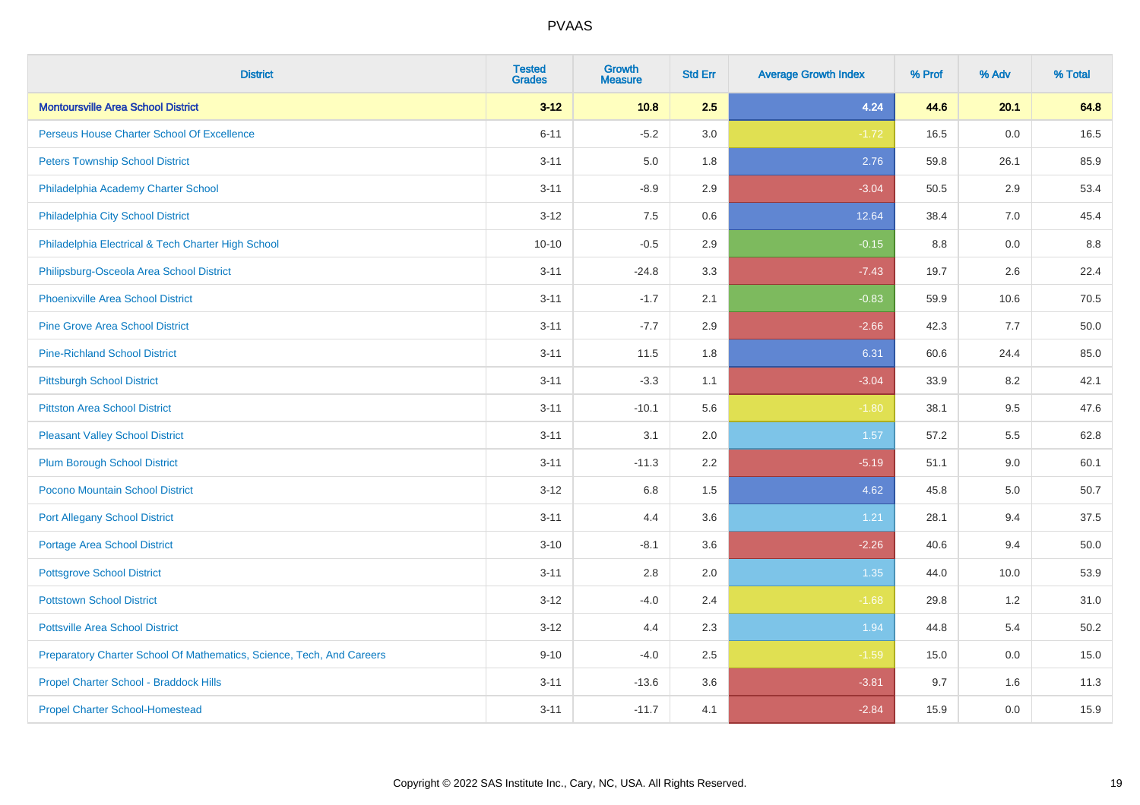| <b>District</b>                                                       | <b>Tested</b><br><b>Grades</b> | <b>Growth</b><br><b>Measure</b> | <b>Std Err</b> | <b>Average Growth Index</b> | % Prof | % Adv | % Total |
|-----------------------------------------------------------------------|--------------------------------|---------------------------------|----------------|-----------------------------|--------|-------|---------|
| <b>Montoursville Area School District</b>                             | $3 - 12$                       | 10.8                            | 2.5            | 4.24                        | 44.6   | 20.1  | 64.8    |
| Perseus House Charter School Of Excellence                            | $6 - 11$                       | $-5.2$                          | 3.0            | $-1.72$                     | 16.5   | 0.0   | 16.5    |
| <b>Peters Township School District</b>                                | $3 - 11$                       | 5.0                             | 1.8            | 2.76                        | 59.8   | 26.1  | 85.9    |
| Philadelphia Academy Charter School                                   | $3 - 11$                       | $-8.9$                          | 2.9            | $-3.04$                     | 50.5   | 2.9   | 53.4    |
| Philadelphia City School District                                     | $3 - 12$                       | 7.5                             | 0.6            | 12.64                       | 38.4   | 7.0   | 45.4    |
| Philadelphia Electrical & Tech Charter High School                    | $10 - 10$                      | $-0.5$                          | 2.9            | $-0.15$                     | 8.8    | 0.0   | 8.8     |
| Philipsburg-Osceola Area School District                              | $3 - 11$                       | $-24.8$                         | 3.3            | $-7.43$                     | 19.7   | 2.6   | 22.4    |
| <b>Phoenixville Area School District</b>                              | $3 - 11$                       | $-1.7$                          | 2.1            | $-0.83$                     | 59.9   | 10.6  | 70.5    |
| <b>Pine Grove Area School District</b>                                | $3 - 11$                       | $-7.7$                          | 2.9            | $-2.66$                     | 42.3   | 7.7   | 50.0    |
| <b>Pine-Richland School District</b>                                  | $3 - 11$                       | 11.5                            | 1.8            | 6.31                        | 60.6   | 24.4  | 85.0    |
| <b>Pittsburgh School District</b>                                     | $3 - 11$                       | $-3.3$                          | 1.1            | $-3.04$                     | 33.9   | 8.2   | 42.1    |
| <b>Pittston Area School District</b>                                  | $3 - 11$                       | $-10.1$                         | 5.6            | $-1.80$                     | 38.1   | 9.5   | 47.6    |
| <b>Pleasant Valley School District</b>                                | $3 - 11$                       | 3.1                             | 2.0            | 1.57                        | 57.2   | 5.5   | 62.8    |
| <b>Plum Borough School District</b>                                   | $3 - 11$                       | $-11.3$                         | 2.2            | $-5.19$                     | 51.1   | 9.0   | 60.1    |
| Pocono Mountain School District                                       | $3 - 12$                       | $6.8\,$                         | 1.5            | 4.62                        | 45.8   | 5.0   | 50.7    |
| <b>Port Allegany School District</b>                                  | $3 - 11$                       | 4.4                             | 3.6            | 1.21                        | 28.1   | 9.4   | 37.5    |
| <b>Portage Area School District</b>                                   | $3 - 10$                       | $-8.1$                          | 3.6            | $-2.26$                     | 40.6   | 9.4   | 50.0    |
| <b>Pottsgrove School District</b>                                     | $3 - 11$                       | 2.8                             | 2.0            | 1.35                        | 44.0   | 10.0  | 53.9    |
| <b>Pottstown School District</b>                                      | $3 - 12$                       | $-4.0$                          | 2.4            | $-1.68$                     | 29.8   | 1.2   | 31.0    |
| <b>Pottsville Area School District</b>                                | $3 - 12$                       | 4.4                             | 2.3            | 1.94                        | 44.8   | 5.4   | 50.2    |
| Preparatory Charter School Of Mathematics, Science, Tech, And Careers | $9 - 10$                       | $-4.0$                          | 2.5            | $-1.59$                     | 15.0   | 0.0   | 15.0    |
| Propel Charter School - Braddock Hills                                | $3 - 11$                       | $-13.6$                         | 3.6            | $-3.81$                     | 9.7    | 1.6   | 11.3    |
| <b>Propel Charter School-Homestead</b>                                | $3 - 11$                       | $-11.7$                         | 4.1            | $-2.84$                     | 15.9   | 0.0   | 15.9    |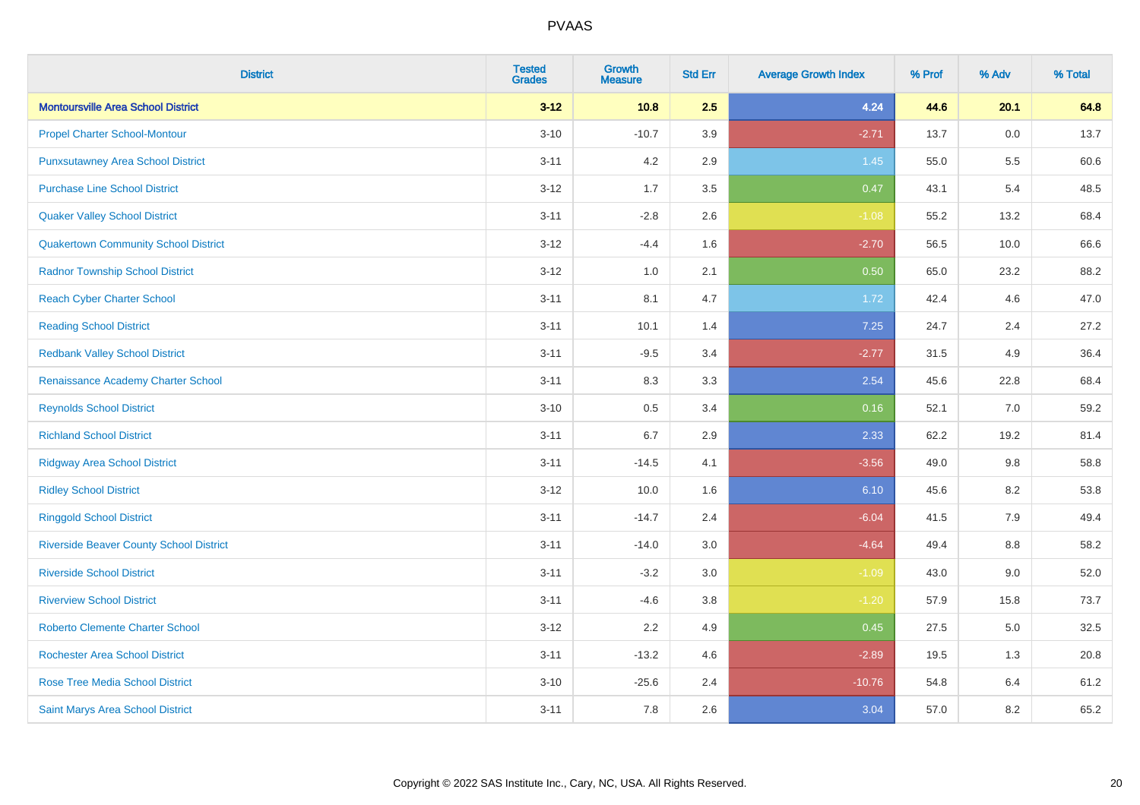| <b>District</b>                                | <b>Tested</b><br><b>Grades</b> | <b>Growth</b><br><b>Measure</b> | <b>Std Err</b> | <b>Average Growth Index</b> | % Prof | % Adv | % Total |
|------------------------------------------------|--------------------------------|---------------------------------|----------------|-----------------------------|--------|-------|---------|
| <b>Montoursville Area School District</b>      | $3 - 12$                       | 10.8                            | 2.5            | 4.24                        | 44.6   | 20.1  | 64.8    |
| <b>Propel Charter School-Montour</b>           | $3 - 10$                       | $-10.7$                         | 3.9            | $-2.71$                     | 13.7   | 0.0   | 13.7    |
| <b>Punxsutawney Area School District</b>       | $3 - 11$                       | 4.2                             | 2.9            | 1.45                        | 55.0   | 5.5   | 60.6    |
| <b>Purchase Line School District</b>           | $3-12$                         | 1.7                             | 3.5            | 0.47                        | 43.1   | 5.4   | 48.5    |
| <b>Quaker Valley School District</b>           | $3 - 11$                       | $-2.8$                          | 2.6            | $-1.08$                     | 55.2   | 13.2  | 68.4    |
| <b>Quakertown Community School District</b>    | $3 - 12$                       | $-4.4$                          | 1.6            | $-2.70$                     | 56.5   | 10.0  | 66.6    |
| <b>Radnor Township School District</b>         | $3 - 12$                       | 1.0                             | 2.1            | 0.50                        | 65.0   | 23.2  | 88.2    |
| <b>Reach Cyber Charter School</b>              | $3 - 11$                       | 8.1                             | 4.7            | 1.72                        | 42.4   | 4.6   | 47.0    |
| <b>Reading School District</b>                 | $3 - 11$                       | 10.1                            | 1.4            | 7.25                        | 24.7   | 2.4   | 27.2    |
| <b>Redbank Valley School District</b>          | $3 - 11$                       | $-9.5$                          | 3.4            | $-2.77$                     | 31.5   | 4.9   | 36.4    |
| Renaissance Academy Charter School             | $3 - 11$                       | 8.3                             | 3.3            | 2.54                        | 45.6   | 22.8  | 68.4    |
| <b>Reynolds School District</b>                | $3 - 10$                       | 0.5                             | 3.4            | 0.16                        | 52.1   | 7.0   | 59.2    |
| <b>Richland School District</b>                | $3 - 11$                       | 6.7                             | 2.9            | 2.33                        | 62.2   | 19.2  | 81.4    |
| <b>Ridgway Area School District</b>            | $3 - 11$                       | $-14.5$                         | 4.1            | $-3.56$                     | 49.0   | 9.8   | 58.8    |
| <b>Ridley School District</b>                  | $3 - 12$                       | 10.0                            | 1.6            | 6.10                        | 45.6   | 8.2   | 53.8    |
| <b>Ringgold School District</b>                | $3 - 11$                       | $-14.7$                         | 2.4            | $-6.04$                     | 41.5   | 7.9   | 49.4    |
| <b>Riverside Beaver County School District</b> | $3 - 11$                       | $-14.0$                         | 3.0            | $-4.64$                     | 49.4   | 8.8   | 58.2    |
| <b>Riverside School District</b>               | $3 - 11$                       | $-3.2$                          | 3.0            | $-1.09$                     | 43.0   | 9.0   | 52.0    |
| <b>Riverview School District</b>               | $3 - 11$                       | $-4.6$                          | 3.8            | $-1.20$                     | 57.9   | 15.8  | 73.7    |
| <b>Roberto Clemente Charter School</b>         | $3 - 12$                       | 2.2                             | 4.9            | 0.45                        | 27.5   | 5.0   | 32.5    |
| <b>Rochester Area School District</b>          | $3 - 11$                       | $-13.2$                         | 4.6            | $-2.89$                     | 19.5   | 1.3   | 20.8    |
| <b>Rose Tree Media School District</b>         | $3 - 10$                       | $-25.6$                         | 2.4            | $-10.76$                    | 54.8   | 6.4   | 61.2    |
| Saint Marys Area School District               | $3 - 11$                       | 7.8                             | 2.6            | 3.04                        | 57.0   | 8.2   | 65.2    |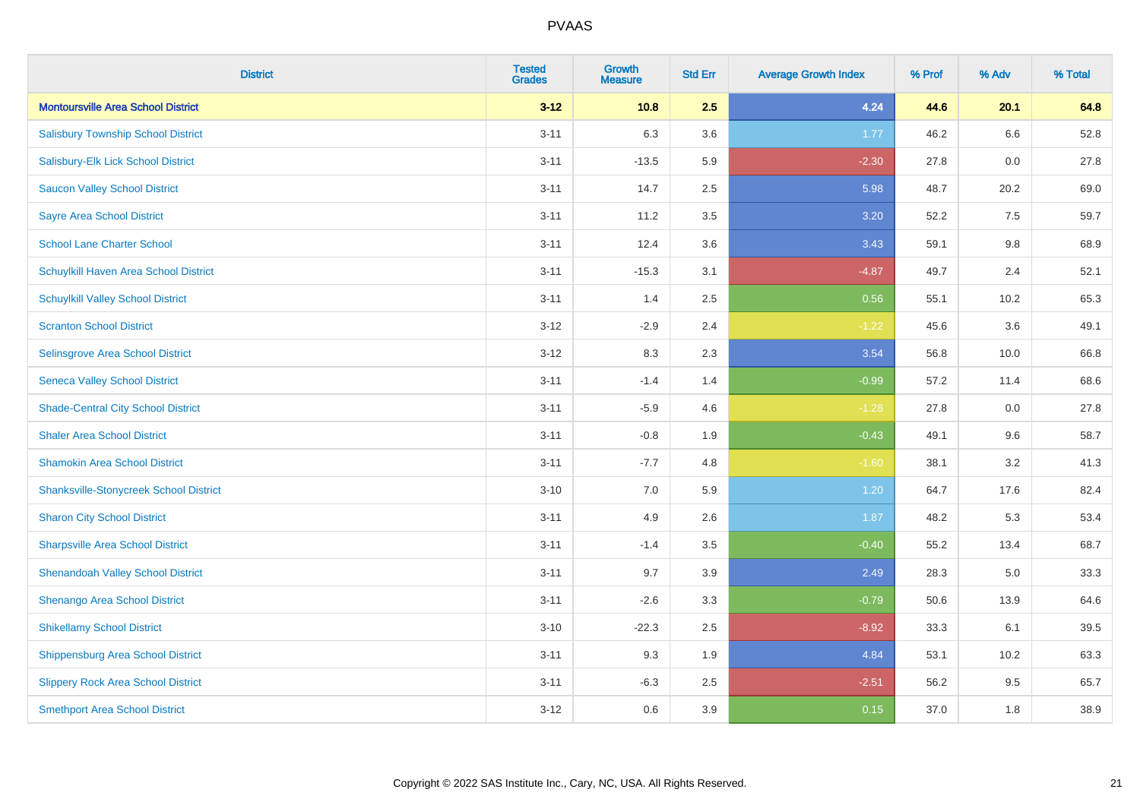| <b>District</b>                               | <b>Tested</b><br><b>Grades</b> | <b>Growth</b><br><b>Measure</b> | <b>Std Err</b> | <b>Average Growth Index</b> | % Prof | % Adv   | % Total |
|-----------------------------------------------|--------------------------------|---------------------------------|----------------|-----------------------------|--------|---------|---------|
| <b>Montoursville Area School District</b>     | $3 - 12$                       | 10.8                            | 2.5            | 4.24                        | 44.6   | 20.1    | 64.8    |
| <b>Salisbury Township School District</b>     | $3 - 11$                       | 6.3                             | 3.6            | 1.77                        | 46.2   | $6.6\,$ | 52.8    |
| Salisbury-Elk Lick School District            | $3 - 11$                       | $-13.5$                         | 5.9            | $-2.30$                     | 27.8   | 0.0     | 27.8    |
| <b>Saucon Valley School District</b>          | $3 - 11$                       | 14.7                            | 2.5            | 5.98                        | 48.7   | 20.2    | 69.0    |
| <b>Sayre Area School District</b>             | $3 - 11$                       | 11.2                            | 3.5            | 3.20                        | 52.2   | 7.5     | 59.7    |
| <b>School Lane Charter School</b>             | $3 - 11$                       | 12.4                            | 3.6            | 3.43                        | 59.1   | 9.8     | 68.9    |
| Schuylkill Haven Area School District         | $3 - 11$                       | $-15.3$                         | 3.1            | $-4.87$                     | 49.7   | 2.4     | 52.1    |
| <b>Schuylkill Valley School District</b>      | $3 - 11$                       | 1.4                             | 2.5            | 0.56                        | 55.1   | 10.2    | 65.3    |
| <b>Scranton School District</b>               | $3 - 12$                       | $-2.9$                          | 2.4            | $-1.22$                     | 45.6   | 3.6     | 49.1    |
| <b>Selinsgrove Area School District</b>       | $3 - 12$                       | 8.3                             | 2.3            | 3.54                        | 56.8   | 10.0    | 66.8    |
| <b>Seneca Valley School District</b>          | $3 - 11$                       | $-1.4$                          | 1.4            | $-0.99$                     | 57.2   | 11.4    | 68.6    |
| <b>Shade-Central City School District</b>     | $3 - 11$                       | $-5.9$                          | 4.6            | $-1.28$                     | 27.8   | 0.0     | 27.8    |
| <b>Shaler Area School District</b>            | $3 - 11$                       | $-0.8$                          | 1.9            | $-0.43$                     | 49.1   | 9.6     | 58.7    |
| <b>Shamokin Area School District</b>          | $3 - 11$                       | $-7.7$                          | 4.8            | $-1.60$                     | 38.1   | 3.2     | 41.3    |
| <b>Shanksville-Stonycreek School District</b> | $3 - 10$                       | 7.0                             | 5.9            | 1.20                        | 64.7   | 17.6    | 82.4    |
| <b>Sharon City School District</b>            | $3 - 11$                       | 4.9                             | 2.6            | 1.87                        | 48.2   | 5.3     | 53.4    |
| <b>Sharpsville Area School District</b>       | $3 - 11$                       | $-1.4$                          | 3.5            | $-0.40$                     | 55.2   | 13.4    | 68.7    |
| <b>Shenandoah Valley School District</b>      | $3 - 11$                       | 9.7                             | 3.9            | 2.49                        | 28.3   | 5.0     | 33.3    |
| Shenango Area School District                 | $3 - 11$                       | $-2.6$                          | 3.3            | $-0.79$                     | 50.6   | 13.9    | 64.6    |
| <b>Shikellamy School District</b>             | $3 - 10$                       | $-22.3$                         | 2.5            | $-8.92$                     | 33.3   | 6.1     | 39.5    |
| <b>Shippensburg Area School District</b>      | $3 - 11$                       | 9.3                             | 1.9            | 4.84                        | 53.1   | 10.2    | 63.3    |
| <b>Slippery Rock Area School District</b>     | $3 - 11$                       | $-6.3$                          | 2.5            | $-2.51$                     | 56.2   | 9.5     | 65.7    |
| <b>Smethport Area School District</b>         | $3 - 12$                       | 0.6                             | 3.9            | 0.15                        | 37.0   | 1.8     | 38.9    |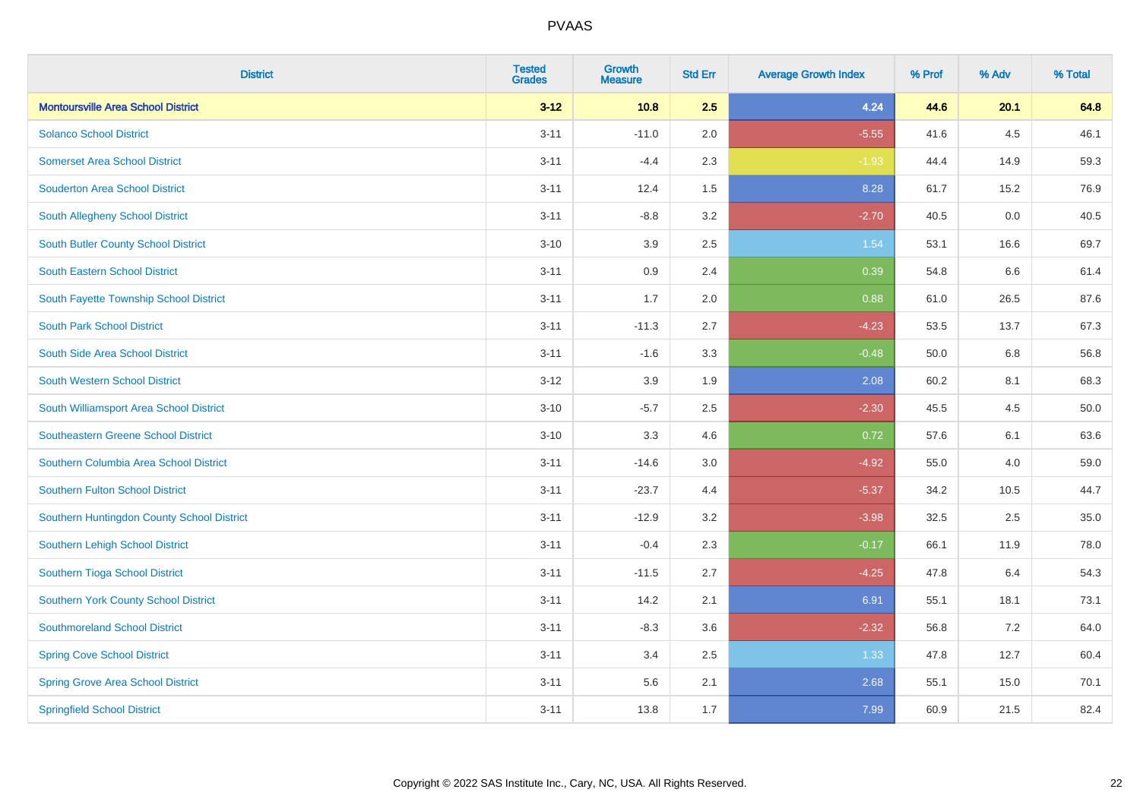| <b>District</b>                            | <b>Tested</b><br><b>Grades</b> | <b>Growth</b><br><b>Measure</b> | <b>Std Err</b> | <b>Average Growth Index</b> | % Prof | % Adv | % Total |
|--------------------------------------------|--------------------------------|---------------------------------|----------------|-----------------------------|--------|-------|---------|
| <b>Montoursville Area School District</b>  | $3 - 12$                       | 10.8                            | 2.5            | 4.24                        | 44.6   | 20.1  | 64.8    |
| <b>Solanco School District</b>             | $3 - 11$                       | $-11.0$                         | 2.0            | $-5.55$                     | 41.6   | 4.5   | 46.1    |
| <b>Somerset Area School District</b>       | $3 - 11$                       | $-4.4$                          | 2.3            | $-1.93$                     | 44.4   | 14.9  | 59.3    |
| <b>Souderton Area School District</b>      | $3 - 11$                       | 12.4                            | 1.5            | 8.28                        | 61.7   | 15.2  | 76.9    |
| South Allegheny School District            | $3 - 11$                       | $-8.8$                          | 3.2            | $-2.70$                     | 40.5   | 0.0   | 40.5    |
| <b>South Butler County School District</b> | $3 - 10$                       | 3.9                             | 2.5            | 1.54                        | 53.1   | 16.6  | 69.7    |
| <b>South Eastern School District</b>       | $3 - 11$                       | 0.9                             | 2.4            | 0.39                        | 54.8   | 6.6   | 61.4    |
| South Fayette Township School District     | $3 - 11$                       | 1.7                             | 2.0            | 0.88                        | 61.0   | 26.5  | 87.6    |
| <b>South Park School District</b>          | $3 - 11$                       | $-11.3$                         | 2.7            | $-4.23$                     | 53.5   | 13.7  | 67.3    |
| South Side Area School District            | $3 - 11$                       | $-1.6$                          | 3.3            | $-0.48$                     | 50.0   | 6.8   | 56.8    |
| South Western School District              | $3-12$                         | 3.9                             | 1.9            | 2.08                        | 60.2   | 8.1   | 68.3    |
| South Williamsport Area School District    | $3 - 10$                       | $-5.7$                          | 2.5            | $-2.30$                     | 45.5   | 4.5   | 50.0    |
| Southeastern Greene School District        | $3 - 10$                       | 3.3                             | 4.6            | 0.72                        | 57.6   | 6.1   | 63.6    |
| Southern Columbia Area School District     | $3 - 11$                       | $-14.6$                         | 3.0            | $-4.92$                     | 55.0   | 4.0   | 59.0    |
| <b>Southern Fulton School District</b>     | $3 - 11$                       | $-23.7$                         | 4.4            | $-5.37$                     | 34.2   | 10.5  | 44.7    |
| Southern Huntingdon County School District | $3 - 11$                       | $-12.9$                         | 3.2            | $-3.98$                     | 32.5   | 2.5   | 35.0    |
| Southern Lehigh School District            | $3 - 11$                       | $-0.4$                          | 2.3            | $-0.17$                     | 66.1   | 11.9  | 78.0    |
| Southern Tioga School District             | $3 - 11$                       | $-11.5$                         | 2.7            | $-4.25$                     | 47.8   | 6.4   | 54.3    |
| Southern York County School District       | $3 - 11$                       | 14.2                            | 2.1            | 6.91                        | 55.1   | 18.1  | 73.1    |
| <b>Southmoreland School District</b>       | $3 - 11$                       | $-8.3$                          | 3.6            | $-2.32$                     | 56.8   | 7.2   | 64.0    |
| <b>Spring Cove School District</b>         | $3 - 11$                       | 3.4                             | 2.5            | 1.33                        | 47.8   | 12.7  | 60.4    |
| <b>Spring Grove Area School District</b>   | $3 - 11$                       | 5.6                             | 2.1            | 2.68                        | 55.1   | 15.0  | 70.1    |
| <b>Springfield School District</b>         | $3 - 11$                       | 13.8                            | 1.7            | 7.99                        | 60.9   | 21.5  | 82.4    |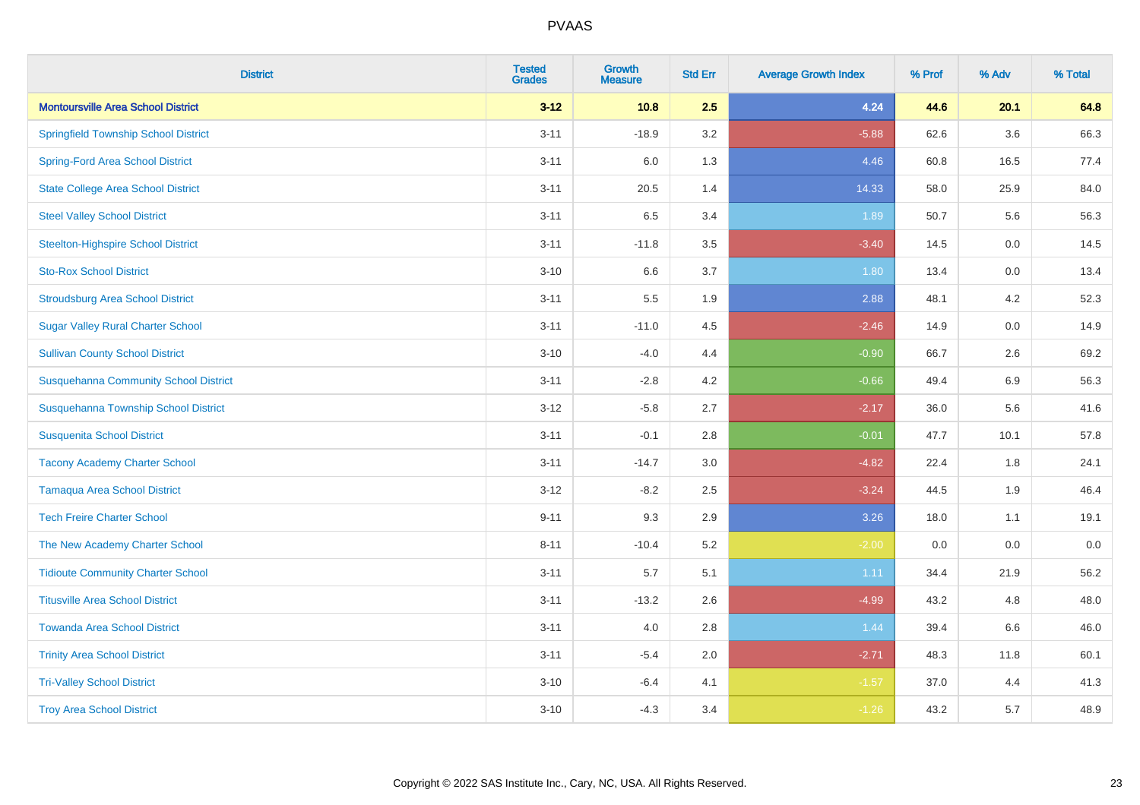| <b>District</b>                              | <b>Tested</b><br><b>Grades</b> | <b>Growth</b><br><b>Measure</b> | <b>Std Err</b> | <b>Average Growth Index</b> | % Prof | % Adv   | % Total |
|----------------------------------------------|--------------------------------|---------------------------------|----------------|-----------------------------|--------|---------|---------|
| <b>Montoursville Area School District</b>    | $3 - 12$                       | 10.8                            | 2.5            | 4.24                        | 44.6   | 20.1    | 64.8    |
| <b>Springfield Township School District</b>  | $3 - 11$                       | $-18.9$                         | 3.2            | $-5.88$                     | 62.6   | 3.6     | 66.3    |
| <b>Spring-Ford Area School District</b>      | $3 - 11$                       | 6.0                             | 1.3            | 4.46                        | 60.8   | 16.5    | 77.4    |
| <b>State College Area School District</b>    | $3 - 11$                       | 20.5                            | 1.4            | 14.33                       | 58.0   | 25.9    | 84.0    |
| <b>Steel Valley School District</b>          | $3 - 11$                       | 6.5                             | 3.4            | 1.89                        | 50.7   | 5.6     | 56.3    |
| <b>Steelton-Highspire School District</b>    | $3 - 11$                       | $-11.8$                         | 3.5            | $-3.40$                     | 14.5   | 0.0     | 14.5    |
| <b>Sto-Rox School District</b>               | $3 - 10$                       | 6.6                             | 3.7            | 1.80                        | 13.4   | 0.0     | 13.4    |
| <b>Stroudsburg Area School District</b>      | $3 - 11$                       | 5.5                             | 1.9            | 2.88                        | 48.1   | 4.2     | 52.3    |
| <b>Sugar Valley Rural Charter School</b>     | $3 - 11$                       | $-11.0$                         | 4.5            | $-2.46$                     | 14.9   | 0.0     | 14.9    |
| <b>Sullivan County School District</b>       | $3 - 10$                       | $-4.0$                          | 4.4            | $-0.90$                     | 66.7   | $2.6\,$ | 69.2    |
| <b>Susquehanna Community School District</b> | $3 - 11$                       | $-2.8$                          | 4.2            | $-0.66$                     | 49.4   | 6.9     | 56.3    |
| Susquehanna Township School District         | $3 - 12$                       | $-5.8$                          | 2.7            | $-2.17$                     | 36.0   | 5.6     | 41.6    |
| <b>Susquenita School District</b>            | $3 - 11$                       | $-0.1$                          | 2.8            | $-0.01$                     | 47.7   | 10.1    | 57.8    |
| <b>Tacony Academy Charter School</b>         | $3 - 11$                       | $-14.7$                         | 3.0            | $-4.82$                     | 22.4   | 1.8     | 24.1    |
| <b>Tamaqua Area School District</b>          | $3 - 12$                       | $-8.2$                          | 2.5            | $-3.24$                     | 44.5   | 1.9     | 46.4    |
| <b>Tech Freire Charter School</b>            | $9 - 11$                       | 9.3                             | 2.9            | 3.26                        | 18.0   | 1.1     | 19.1    |
| The New Academy Charter School               | $8 - 11$                       | $-10.4$                         | 5.2            | $-2.00$                     | 0.0    | 0.0     | $0.0\,$ |
| <b>Tidioute Community Charter School</b>     | $3 - 11$                       | 5.7                             | 5.1            | 1.11                        | 34.4   | 21.9    | 56.2    |
| <b>Titusville Area School District</b>       | $3 - 11$                       | $-13.2$                         | 2.6            | $-4.99$                     | 43.2   | 4.8     | 48.0    |
| <b>Towanda Area School District</b>          | $3 - 11$                       | 4.0                             | 2.8            | 1.44                        | 39.4   | 6.6     | 46.0    |
| <b>Trinity Area School District</b>          | $3 - 11$                       | $-5.4$                          | 2.0            | $-2.71$                     | 48.3   | 11.8    | 60.1    |
| <b>Tri-Valley School District</b>            | $3 - 10$                       | $-6.4$                          | 4.1            | $-1.57$                     | 37.0   | 4.4     | 41.3    |
| <b>Troy Area School District</b>             | $3 - 10$                       | $-4.3$                          | 3.4            | $-1.26$                     | 43.2   | 5.7     | 48.9    |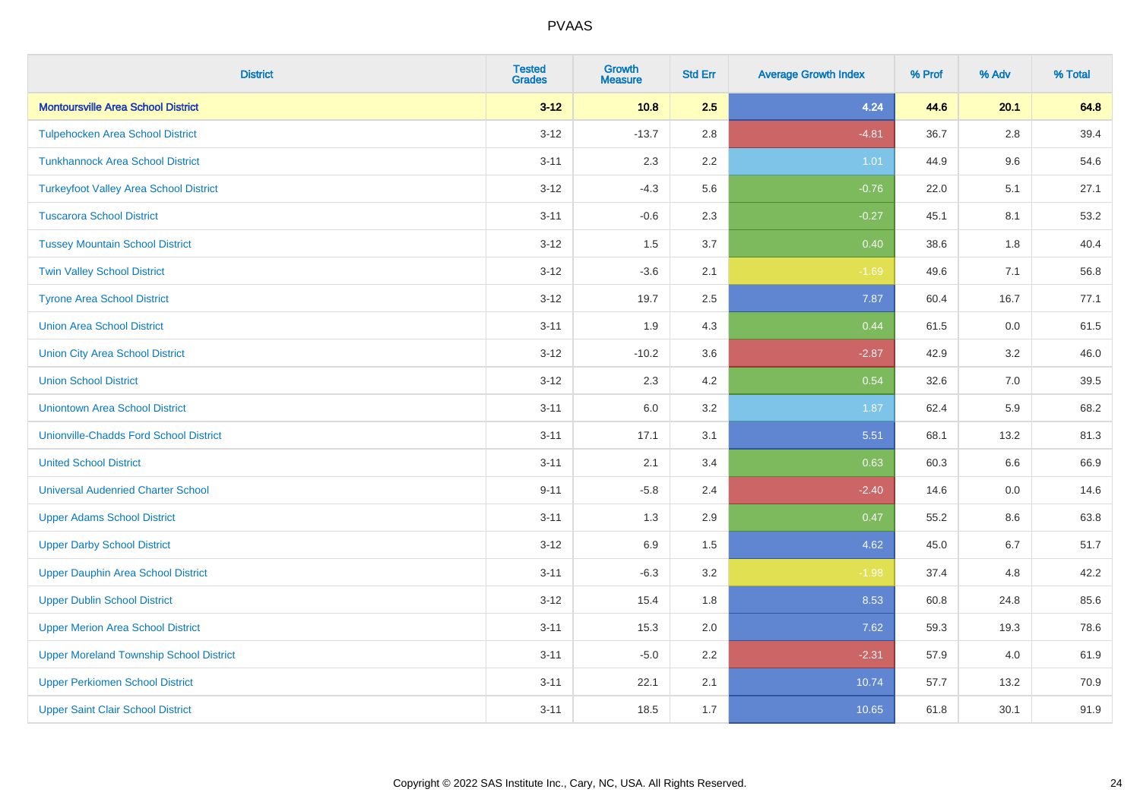| <b>District</b>                                | <b>Tested</b><br><b>Grades</b> | <b>Growth</b><br><b>Measure</b> | <b>Std Err</b> | <b>Average Growth Index</b> | % Prof | % Adv   | % Total |
|------------------------------------------------|--------------------------------|---------------------------------|----------------|-----------------------------|--------|---------|---------|
| <b>Montoursville Area School District</b>      | $3 - 12$                       | 10.8                            | 2.5            | 4.24                        | 44.6   | 20.1    | 64.8    |
| <b>Tulpehocken Area School District</b>        | $3 - 12$                       | $-13.7$                         | 2.8            | $-4.81$                     | 36.7   | $2.8\,$ | 39.4    |
| <b>Tunkhannock Area School District</b>        | $3 - 11$                       | 2.3                             | 2.2            | 1.01                        | 44.9   | 9.6     | 54.6    |
| <b>Turkeyfoot Valley Area School District</b>  | $3 - 12$                       | $-4.3$                          | 5.6            | $-0.76$                     | 22.0   | 5.1     | 27.1    |
| <b>Tuscarora School District</b>               | $3 - 11$                       | $-0.6$                          | 2.3            | $-0.27$                     | 45.1   | 8.1     | 53.2    |
| <b>Tussey Mountain School District</b>         | $3 - 12$                       | 1.5                             | 3.7            | 0.40                        | 38.6   | 1.8     | 40.4    |
| <b>Twin Valley School District</b>             | $3 - 12$                       | $-3.6$                          | 2.1            | $-1.69$                     | 49.6   | 7.1     | 56.8    |
| <b>Tyrone Area School District</b>             | $3 - 12$                       | 19.7                            | 2.5            | 7.87                        | 60.4   | 16.7    | 77.1    |
| <b>Union Area School District</b>              | $3 - 11$                       | 1.9                             | 4.3            | 0.44                        | 61.5   | 0.0     | 61.5    |
| <b>Union City Area School District</b>         | $3 - 12$                       | $-10.2$                         | 3.6            | $-2.87$                     | 42.9   | 3.2     | 46.0    |
| <b>Union School District</b>                   | $3 - 12$                       | 2.3                             | 4.2            | 0.54                        | 32.6   | 7.0     | 39.5    |
| <b>Uniontown Area School District</b>          | $3 - 11$                       | 6.0                             | 3.2            | 1.87                        | 62.4   | 5.9     | 68.2    |
| <b>Unionville-Chadds Ford School District</b>  | $3 - 11$                       | 17.1                            | 3.1            | 5.51                        | 68.1   | 13.2    | 81.3    |
| <b>United School District</b>                  | $3 - 11$                       | 2.1                             | 3.4            | 0.63                        | 60.3   | 6.6     | 66.9    |
| <b>Universal Audenried Charter School</b>      | $9 - 11$                       | $-5.8$                          | 2.4            | $-2.40$                     | 14.6   | 0.0     | 14.6    |
| <b>Upper Adams School District</b>             | $3 - 11$                       | 1.3                             | 2.9            | 0.47                        | 55.2   | $8.6\,$ | 63.8    |
| <b>Upper Darby School District</b>             | $3 - 12$                       | 6.9                             | 1.5            | 4.62                        | 45.0   | 6.7     | 51.7    |
| <b>Upper Dauphin Area School District</b>      | $3 - 11$                       | $-6.3$                          | 3.2            | $-1.98$                     | 37.4   | 4.8     | 42.2    |
| <b>Upper Dublin School District</b>            | $3 - 12$                       | 15.4                            | 1.8            | 8.53                        | 60.8   | 24.8    | 85.6    |
| <b>Upper Merion Area School District</b>       | $3 - 11$                       | 15.3                            | 2.0            | 7.62                        | 59.3   | 19.3    | 78.6    |
| <b>Upper Moreland Township School District</b> | $3 - 11$                       | $-5.0$                          | 2.2            | $-2.31$                     | 57.9   | 4.0     | 61.9    |
| <b>Upper Perkiomen School District</b>         | $3 - 11$                       | 22.1                            | 2.1            | 10.74                       | 57.7   | 13.2    | 70.9    |
| <b>Upper Saint Clair School District</b>       | $3 - 11$                       | 18.5                            | 1.7            | 10.65                       | 61.8   | 30.1    | 91.9    |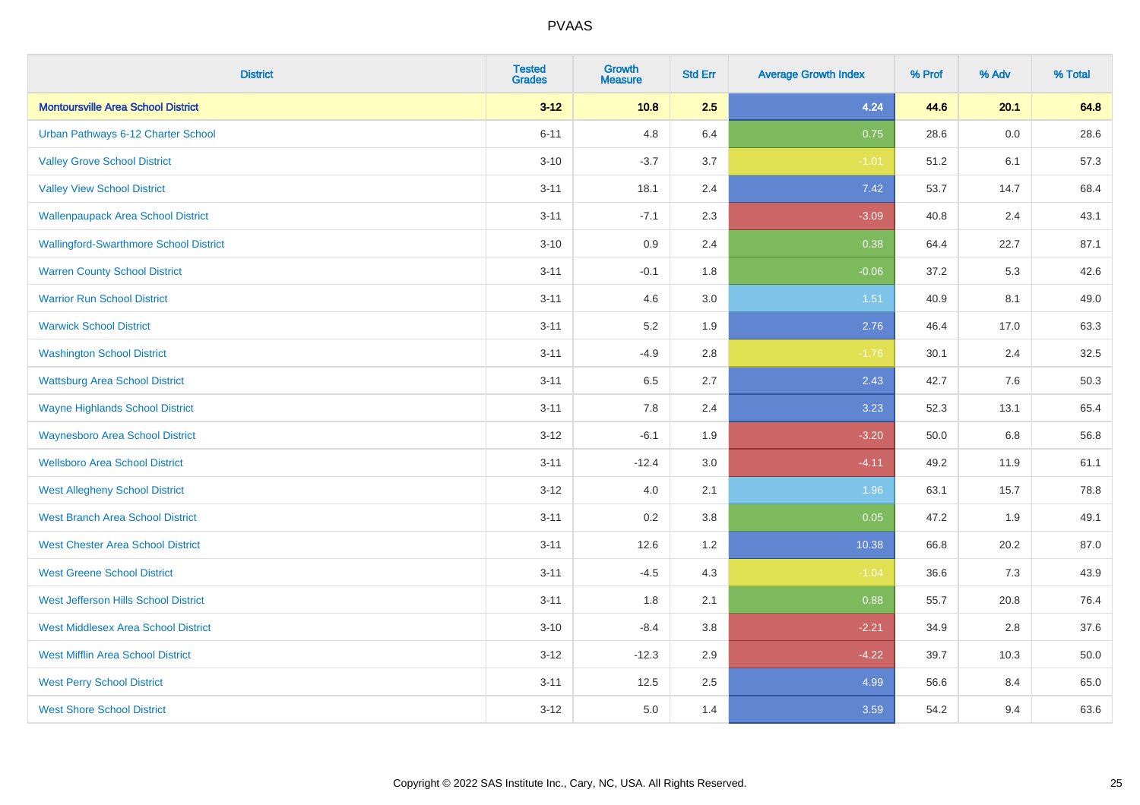| <b>District</b>                               | <b>Tested</b><br><b>Grades</b> | <b>Growth</b><br><b>Measure</b> | <b>Std Err</b> | <b>Average Growth Index</b> | % Prof | % Adv   | % Total |
|-----------------------------------------------|--------------------------------|---------------------------------|----------------|-----------------------------|--------|---------|---------|
| <b>Montoursville Area School District</b>     | $3 - 12$                       | 10.8                            | 2.5            | 4.24                        | 44.6   | 20.1    | 64.8    |
| Urban Pathways 6-12 Charter School            | $6 - 11$                       | 4.8                             | 6.4            | 0.75                        | 28.6   | $0.0\,$ | 28.6    |
| <b>Valley Grove School District</b>           | $3 - 10$                       | $-3.7$                          | 3.7            | $-1.01$                     | 51.2   | 6.1     | 57.3    |
| <b>Valley View School District</b>            | $3 - 11$                       | 18.1                            | 2.4            | 7.42                        | 53.7   | 14.7    | 68.4    |
| <b>Wallenpaupack Area School District</b>     | $3 - 11$                       | $-7.1$                          | 2.3            | $-3.09$                     | 40.8   | 2.4     | 43.1    |
| <b>Wallingford-Swarthmore School District</b> | $3 - 10$                       | 0.9                             | 2.4            | 0.38                        | 64.4   | 22.7    | 87.1    |
| <b>Warren County School District</b>          | $3 - 11$                       | $-0.1$                          | 1.8            | $-0.06$                     | 37.2   | 5.3     | 42.6    |
| <b>Warrior Run School District</b>            | $3 - 11$                       | 4.6                             | 3.0            | 1.51                        | 40.9   | 8.1     | 49.0    |
| <b>Warwick School District</b>                | $3 - 11$                       | 5.2                             | 1.9            | 2.76                        | 46.4   | 17.0    | 63.3    |
| <b>Washington School District</b>             | $3 - 11$                       | $-4.9$                          | $2.8\,$        | $-1.76$                     | 30.1   | 2.4     | 32.5    |
| <b>Wattsburg Area School District</b>         | $3 - 11$                       | 6.5                             | 2.7            | 2.43                        | 42.7   | 7.6     | 50.3    |
| <b>Wayne Highlands School District</b>        | $3 - 11$                       | 7.8                             | 2.4            | 3.23                        | 52.3   | 13.1    | 65.4    |
| <b>Waynesboro Area School District</b>        | $3 - 12$                       | $-6.1$                          | 1.9            | $-3.20$                     | 50.0   | $6.8\,$ | 56.8    |
| <b>Wellsboro Area School District</b>         | $3 - 11$                       | $-12.4$                         | 3.0            | $-4.11$                     | 49.2   | 11.9    | 61.1    |
| <b>West Allegheny School District</b>         | $3 - 12$                       | 4.0                             | 2.1            | 1.96                        | 63.1   | 15.7    | 78.8    |
| <b>West Branch Area School District</b>       | $3 - 11$                       | 0.2                             | 3.8            | 0.05                        | 47.2   | 1.9     | 49.1    |
| <b>West Chester Area School District</b>      | $3 - 11$                       | 12.6                            | 1.2            | 10.38                       | 66.8   | 20.2    | 87.0    |
| <b>West Greene School District</b>            | $3 - 11$                       | $-4.5$                          | 4.3            | $-1.04$                     | 36.6   | 7.3     | 43.9    |
| West Jefferson Hills School District          | $3 - 11$                       | 1.8                             | 2.1            | 0.88                        | 55.7   | 20.8    | 76.4    |
| <b>West Middlesex Area School District</b>    | $3 - 10$                       | $-8.4$                          | 3.8            | $-2.21$                     | 34.9   | 2.8     | 37.6    |
| <b>West Mifflin Area School District</b>      | $3 - 12$                       | $-12.3$                         | 2.9            | $-4.22$                     | 39.7   | 10.3    | 50.0    |
| <b>West Perry School District</b>             | $3 - 11$                       | 12.5                            | 2.5            | 4.99                        | 56.6   | 8.4     | 65.0    |
| <b>West Shore School District</b>             | $3 - 12$                       | 5.0                             | 1.4            | 3.59                        | 54.2   | 9.4     | 63.6    |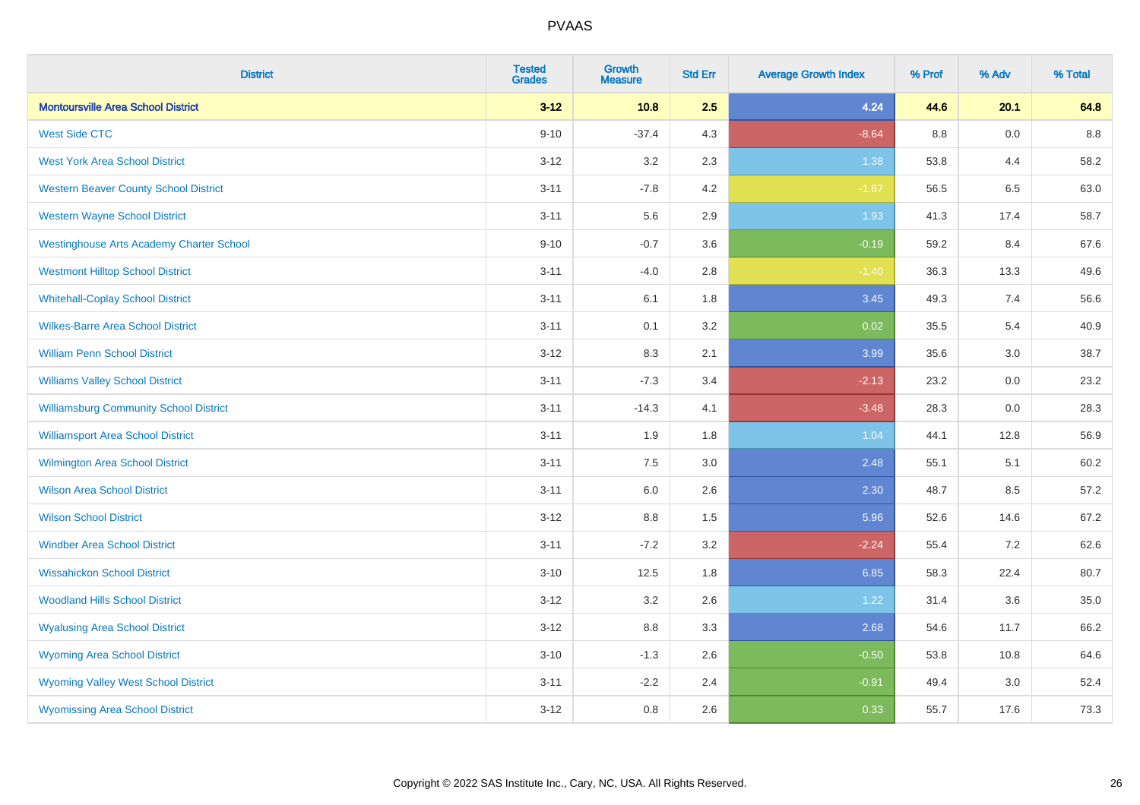| <b>District</b>                                 | <b>Tested</b><br><b>Grades</b> | <b>Growth</b><br><b>Measure</b> | <b>Std Err</b> | <b>Average Growth Index</b> | % Prof | % Adv | % Total |
|-------------------------------------------------|--------------------------------|---------------------------------|----------------|-----------------------------|--------|-------|---------|
| <b>Montoursville Area School District</b>       | $3 - 12$                       | 10.8                            | 2.5            | 4.24                        | 44.6   | 20.1  | 64.8    |
| <b>West Side CTC</b>                            | $9 - 10$                       | $-37.4$                         | 4.3            | $-8.64$                     | 8.8    | 0.0   | 8.8     |
| <b>West York Area School District</b>           | $3 - 12$                       | 3.2                             | 2.3            | 1.38                        | 53.8   | 4.4   | 58.2    |
| <b>Western Beaver County School District</b>    | $3 - 11$                       | $-7.8$                          | 4.2            | $-1.87$                     | 56.5   | 6.5   | 63.0    |
| <b>Western Wayne School District</b>            | $3 - 11$                       | 5.6                             | 2.9            | 1.93                        | 41.3   | 17.4  | 58.7    |
| <b>Westinghouse Arts Academy Charter School</b> | $9 - 10$                       | $-0.7$                          | 3.6            | $-0.19$                     | 59.2   | 8.4   | 67.6    |
| <b>Westmont Hilltop School District</b>         | $3 - 11$                       | $-4.0$                          | 2.8            | $-1.40$                     | 36.3   | 13.3  | 49.6    |
| <b>Whitehall-Coplay School District</b>         | $3 - 11$                       | 6.1                             | 1.8            | 3.45                        | 49.3   | 7.4   | 56.6    |
| <b>Wilkes-Barre Area School District</b>        | $3 - 11$                       | 0.1                             | 3.2            | $\overline{0.02}$           | 35.5   | 5.4   | 40.9    |
| <b>William Penn School District</b>             | $3 - 12$                       | $8.3\,$                         | 2.1            | 3.99                        | 35.6   | 3.0   | 38.7    |
| <b>Williams Valley School District</b>          | $3 - 11$                       | $-7.3$                          | 3.4            | $-2.13$                     | 23.2   | 0.0   | 23.2    |
| <b>Williamsburg Community School District</b>   | $3 - 11$                       | $-14.3$                         | 4.1            | $-3.48$                     | 28.3   | 0.0   | 28.3    |
| <b>Williamsport Area School District</b>        | $3 - 11$                       | 1.9                             | 1.8            | 1.04                        | 44.1   | 12.8  | 56.9    |
| <b>Wilmington Area School District</b>          | $3 - 11$                       | 7.5                             | 3.0            | 2.48                        | 55.1   | 5.1   | 60.2    |
| <b>Wilson Area School District</b>              | $3 - 11$                       | $6.0\,$                         | 2.6            | 2.30                        | 48.7   | 8.5   | 57.2    |
| <b>Wilson School District</b>                   | $3 - 12$                       | 8.8                             | 1.5            | 5.96                        | 52.6   | 14.6  | 67.2    |
| <b>Windber Area School District</b>             | $3 - 11$                       | $-7.2$                          | 3.2            | $-2.24$                     | 55.4   | 7.2   | 62.6    |
| <b>Wissahickon School District</b>              | $3 - 10$                       | 12.5                            | 1.8            | 6.85                        | 58.3   | 22.4  | 80.7    |
| <b>Woodland Hills School District</b>           | $3 - 12$                       | 3.2                             | 2.6            | 1.22                        | 31.4   | 3.6   | 35.0    |
| <b>Wyalusing Area School District</b>           | $3 - 12$                       | 8.8                             | 3.3            | 2.68                        | 54.6   | 11.7  | 66.2    |
| <b>Wyoming Area School District</b>             | $3 - 10$                       | $-1.3$                          | 2.6            | $-0.50$                     | 53.8   | 10.8  | 64.6    |
| <b>Wyoming Valley West School District</b>      | $3 - 11$                       | $-2.2$                          | 2.4            | $-0.91$                     | 49.4   | 3.0   | 52.4    |
| <b>Wyomissing Area School District</b>          | $3 - 12$                       | 0.8                             | 2.6            | 0.33                        | 55.7   | 17.6  | 73.3    |